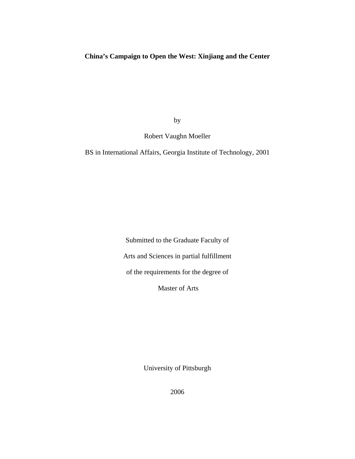## **China's Campaign to Open the West: Xinjiang and the Center**

by

Robert Vaughn Moeller

BS in International Affairs, Georgia Institute of Technology, 2001

Submitted to the Graduate Faculty of Arts and Sciences in partial fulfillment of the requirements for the degree of

Master of Arts

University of Pittsburgh

2006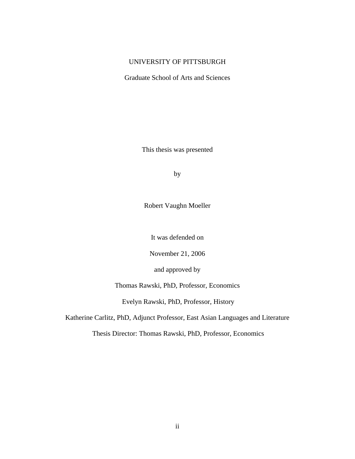## UNIVERSITY OF PITTSBURGH

Graduate School of Arts and Sciences

This thesis was presented

by

Robert Vaughn Moeller

It was defended on

November 21, 2006

and approved by

Thomas Rawski, PhD, Professor, Economics

Evelyn Rawski, PhD, Professor, History

Katherine Carlitz, PhD, Adjunct Professor, East Asian Languages and Literature

Thesis Director: Thomas Rawski, PhD, Professor, Economics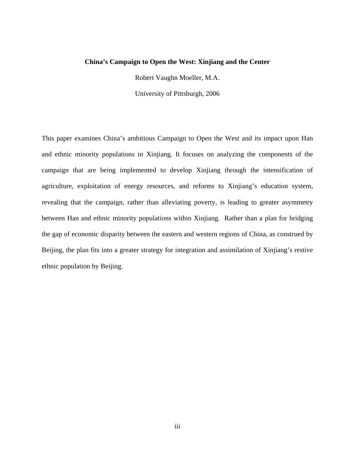#### **China's Campaign to Open the West: Xinjiang and the Center**

Robert Vaughn Moeller, M.A.

University of Pittsburgh, 2006

This paper examines China's ambitious Campaign to Open the West and its impact upon Han and ethnic minority populations in Xinjiang. It focuses on analyzing the components of the campaign that are being implemented to develop Xinjiang through the intensification of agriculture, exploitation of energy resources, and reforms to Xinjiang's education system, revealing that the campaign, rather than alleviating poverty, is leading to greater asymmetry between Han and ethnic minority populations within Xinjiang. Rather than a plan for bridging the gap of economic disparity between the eastern and western regions of China, as construed by Beijing, the plan fits into a greater strategy for integration and assimilation of Xinjiang's restive ethnic population by Beijing.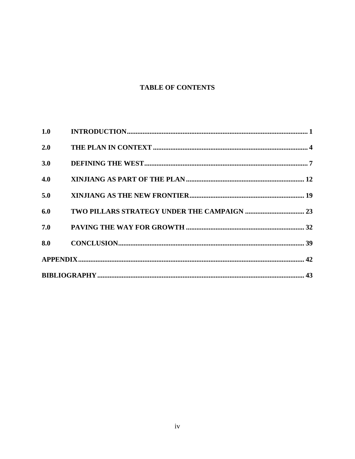# **TABLE OF CONTENTS**

| 2.0 |  |
|-----|--|
| 3.0 |  |
| 4.0 |  |
| 5.0 |  |
| 6.0 |  |
|     |  |
|     |  |
|     |  |
|     |  |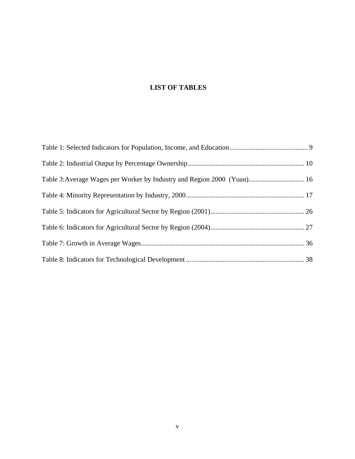## **LIST OF TABLES**

| Table 3: Average Wages per Worker by Industry and Region 2000 (Yuan) 16 |  |
|-------------------------------------------------------------------------|--|
|                                                                         |  |
|                                                                         |  |
|                                                                         |  |
|                                                                         |  |
|                                                                         |  |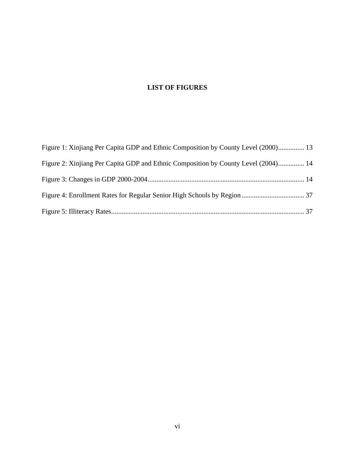# **LIST OF FIGURES**

| Figure 1: Xinjiang Per Capita GDP and Ethnic Composition by County Level (2000) 13 |  |
|------------------------------------------------------------------------------------|--|
| Figure 2: Xinjiang Per Capita GDP and Ethnic Composition by County Level (2004) 14 |  |
|                                                                                    |  |
|                                                                                    |  |
|                                                                                    |  |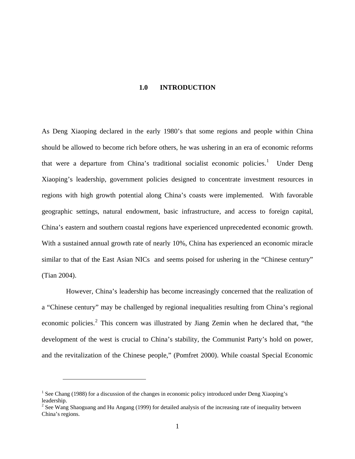#### **1.0 INTRODUCTION**

<span id="page-6-0"></span>As Deng Xiaoping declared in the early 1980's that some regions and people within China should be allowed to become rich before others, he was ushering in an era of economic reforms that were a departure from China's traditional socialist economic policies.<sup>[1](#page-6-1)</sup> Under Deng Xiaoping's leadership, government policies designed to concentrate investment resources in regions with high growth potential along China's coasts were implemented. With favorable geographic settings, natural endowment, basic infrastructure, and access to foreign capital, China's eastern and southern coastal regions have experienced unprecedented economic growth. With a sustained annual growth rate of nearly 10%, China has experienced an economic miracle similar to that of the East Asian NICs and seems poised for ushering in the "Chinese century" (Tian 2004).

 However, China's leadership has become increasingly concerned that the realization of a "Chinese century" may be challenged by regional inequalities resulting from China's regional economic policies.<sup>[2](#page-6-2)</sup> This concern was illustrated by Jiang Zemin when he declared that, "the development of the west is crucial to China's stability, the Communist Party's hold on power, and the revitalization of the Chinese people," (Pomfret 2000). While coastal Special Economic

<span id="page-6-1"></span><sup>&</sup>lt;sup>1</sup> See Chang (1988) for a discussion of the changes in economic policy introduced under Deng Xiaoping's leadership.

<span id="page-6-2"></span><sup>&</sup>lt;sup>2</sup> See Wang Shaoguang and Hu Angang (1999) for detailed analysis of the increasing rate of inequality between China's regions.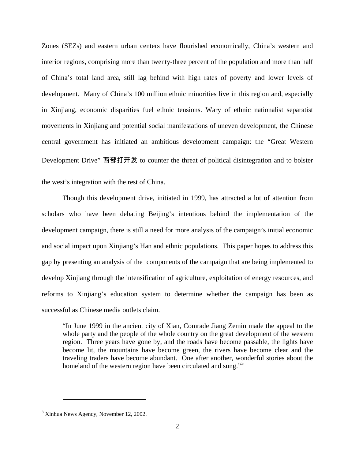Zones (SEZs) and eastern urban centers have flourished economically, China's western and interior regions, comprising more than twenty-three percent of the population and more than half of China's total land area, still lag behind with high rates of poverty and lower levels of development. Many of China's 100 million ethnic minorities live in this region and, especially in Xinjiang, economic disparities fuel ethnic tensions. Wary of ethnic nationalist separatist movements in Xinjiang and potential social manifestations of uneven development, the Chinese central government has initiated an ambitious development campaign: the "Great Western Development Drive" 西部打开发 to counter the threat of political disintegration and to bolster the west's integration with the rest of China.

Though this development drive, initiated in 1999, has attracted a lot of attention from scholars who have been debating Beijing's intentions behind the implementation of the development campaign, there is still a need for more analysis of the campaign's initial economic and social impact upon Xinjiang's Han and ethnic populations. This paper hopes to address this gap by presenting an analysis of the components of the campaign that are being implemented to develop Xinjiang through the intensification of agriculture, exploitation of energy resources, and reforms to Xinjiang's education system to determine whether the campaign has been as successful as Chinese media outlets claim.

"In June 1999 in the ancient city of Xian, Comrade Jiang Zemin made the appeal to the whole party and the people of the whole country on the great development of the western region. Three years have gone by, and the roads have become passable, the lights have become lit, the mountains have become green, the rivers have become clear and the traveling traders have become abundant. One after another, wonderful stories about the homeland of the western region have been circulated and sung."<sup>[3](#page-7-0)</sup>

<span id="page-7-0"></span><sup>&</sup>lt;sup>3</sup> Xinhua News Agency, November 12, 2002.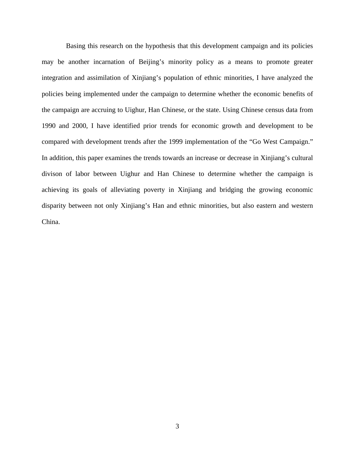Basing this research on the hypothesis that this development campaign and its policies may be another incarnation of Beijing's minority policy as a means to promote greater integration and assimilation of Xinjiang's population of ethnic minorities, I have analyzed the policies being implemented under the campaign to determine whether the economic benefits of the campaign are accruing to Uighur, Han Chinese, or the state. Using Chinese census data from 1990 and 2000, I have identified prior trends for economic growth and development to be compared with development trends after the 1999 implementation of the "Go West Campaign." In addition, this paper examines the trends towards an increase or decrease in Xinjiang's cultural divison of labor between Uighur and Han Chinese to determine whether the campaign is achieving its goals of alleviating poverty in Xinjiang and bridging the growing economic disparity between not only Xinjiang's Han and ethnic minorities, but also eastern and western China.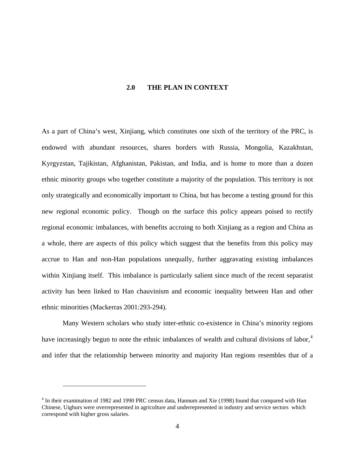#### **2.0 THE PLAN IN CONTEXT**

<span id="page-9-0"></span>As a part of China's west, Xinjiang, which constitutes one sixth of the territory of the PRC, is endowed with abundant resources, shares borders with Russia, Mongolia, Kazakhstan, Kyrgyzstan, Tajikistan, Afghanistan, Pakistan, and India, and is home to more than a dozen ethnic minority groups who together constitute a majority of the population. This territory is not only strategically and economically important to China, but has become a testing ground for this new regional economic policy. Though on the surface this policy appears poised to rectify regional economic imbalances, with benefits accruing to both Xinjiang as a region and China as a whole, there are aspects of this policy which suggest that the benefits from this policy may accrue to Han and non-Han populations unequally, further aggravating existing imbalances within Xinjiang itself. This imbalance is particularly salient since much of the recent separatist activity has been linked to Han chauvinism and economic inequality between Han and other ethnic minorities (Mackerras 2001:293-294).

Many Western scholars who study inter-ethnic co-existence in China's minority regions have increasingly begun to note the ethnic imbalances of wealth and cultural divisions of labor,<sup>[4](#page-9-1)</sup> and infer that the relationship between minority and majority Han regions resembles that of a

<u>.</u>

<span id="page-9-1"></span><sup>&</sup>lt;sup>4</sup> In their examination of 1982 and 1990 PRC census data, Hannum and Xie (1998) found that compared with Han Chinese, Uighurs were overrepresented in agriculture and underrepresented in industry and service sectors which correspond with higher gross salaries.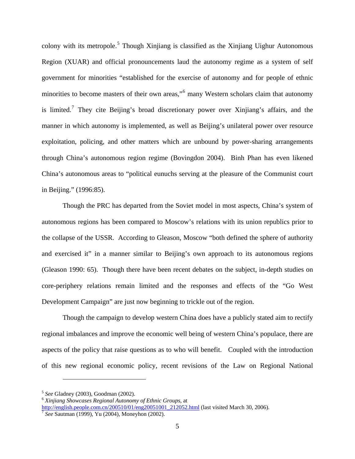colony with its metropole.<sup>[5](#page-10-0)</sup> Though Xinjiang is classified as the Xinjiang Uighur Autonomous Region (XUAR) and official pronouncements laud the autonomy regime as a system of self government for minorities "established for the exercise of autonomy and for people of ethnic minorities to become masters of their own areas,"<sup>[6](#page-10-1)</sup> many Western scholars claim that autonomy is limited.<sup>[7](#page-10-2)</sup> They cite Beijing's broad discretionary power over Xinjiang's affairs, and the manner in which autonomy is implemented, as well as Beijing's unilateral power over resource exploitation, policing, and other matters which are unbound by power-sharing arrangements through China's autonomous region regime (Bovingdon 2004). Binh Phan has even likened China's autonomous areas to "political eunuchs serving at the pleasure of the Communist court in Beijing." (1996:85).

Though the PRC has departed from the Soviet model in most aspects, China's system of autonomous regions has been compared to Moscow's relations with its union republics prior to the collapse of the USSR. According to Gleason, Moscow "both defined the sphere of authority and exercised it" in a manner similar to Beijing's own approach to its autonomous regions (Gleason 1990: 65). Though there have been recent debates on the subject, in-depth studies on core-periphery relations remain limited and the responses and effects of the "Go West Development Campaign" are just now beginning to trickle out of the region.

Though the campaign to develop western China does have a publicly stated aim to rectify regional imbalances and improve the economic well being of western China's populace, there are aspects of the policy that raise questions as to who will benefit. Coupled with the introduction of this new regional economic policy, recent revisions of the Law on Regional National

<span id="page-10-1"></span><span id="page-10-0"></span><sup>5</sup> *See* Gladney (2003), Goodman (2002). 6 *Xinjiang Showcases Regional Autonomy of Ethnic Groups,* at [http://english.people.com.cn/200510/01/eng20051001\\_212052.html](http://english.people.com.cn/200510/01/eng20051001%1F_212052.html) (last visited March 30, 2006). [7](http://english.people.com.cn/200510/01/eng20051001%1F_212052.html) *See* Sautman (1999), Yu (2004), Moneyhon (2002).

<span id="page-10-2"></span>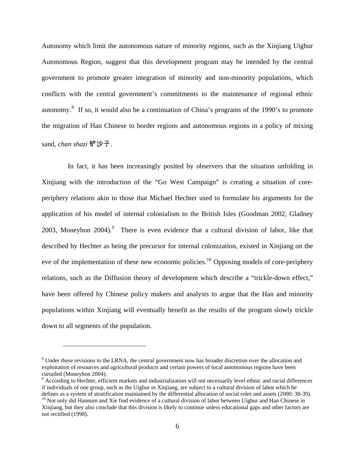Autonomy which limit the autonomous nature of minority regions, such as the Xinjiang Uighur Autonomous Region, suggest that this development program may be intended by the central government to promote greater integration of minority and non-minority populations, which conflicts with the central government's commitments to the maintenance of regional ethnic autonomy. $8$  If so, it would also be a continuation of China's programs of the 1990's to promote the migration of Han Chinese to border regions and autonomous regions in a policy of mixing sand, *chan shazi* 铲沙子.

 In fact, it has been increasingly posited by observers that the situation unfolding in Xinjiang with the introduction of the "Go West Campaign" is creating a situation of coreperiphery relations akin to those that Michael Hechter used to formulate his arguments for the application of his model of internal colonialism to the British Isles (Goodman 2002, Gladney 2003, Moneyhon 2004). <sup>[9](#page-11-1)</sup> There is even evidence that a cultural division of labor, like that described by Hechter as being the precursor for internal colonization, existed in Xinjiang on the eve of the implementation of these new economic policies.<sup>[10](#page-11-2)</sup> Opposing models of core-periphery relations, such as the Diffusion theory of development which describe a "trickle-down effect," have been offered by Chinese policy makers and analysts to argue that the Han and minority populations within Xinjiang will eventually benefit as the results of the program slowly trickle down to all segments of the population.

<span id="page-11-0"></span><sup>&</sup>lt;sup>8</sup> Under these revisions to the LRNA, the central government now has broader discretion over the allocation and exploitation of resources and agricultural products and certain powers of local autonomous regions have been curtailed (Moneyhon 2004).

<span id="page-11-1"></span><sup>&</sup>lt;sup>9</sup> According to Hechter, efficient markets and industrialization will not necessarily level ethnic and racial differences if individuals of one group, such as the Uighur in Xinjiang, are subject to a cultural division of labor which he defines as a system of stratification maintained by the differential allocation of social roles and assets (2000: 38-39).<br><sup>10</sup> Not only did Hannum and Xie find evidence of a cultural division of labor between Uighur and Ha

<span id="page-11-2"></span>Xinjiang, but they also conclude that this division is likely to continue unless educational gaps and other factors are not rectified (1998).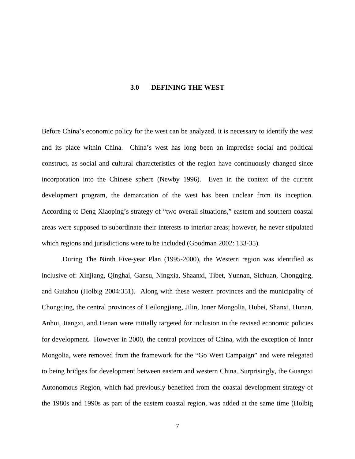#### **3.0 DEFINING THE WEST**

<span id="page-12-0"></span>Before China's economic policy for the west can be analyzed, it is necessary to identify the west and its place within China. China's west has long been an imprecise social and political construct, as social and cultural characteristics of the region have continuously changed since incorporation into the Chinese sphere (Newby 1996). Even in the context of the current development program, the demarcation of the west has been unclear from its inception. According to Deng Xiaoping's strategy of "two overall situations," eastern and southern coastal areas were supposed to subordinate their interests to interior areas; however, he never stipulated which regions and jurisdictions were to be included (Goodman 2002: 133-35).

During The Ninth Five-year Plan (1995-2000), the Western region was identified as inclusive of: Xinjiang, Qinghai, Gansu, Ningxia, Shaanxi, Tibet, Yunnan, Sichuan, Chongqing, and Guizhou (Holbig 2004:351). Along with these western provinces and the municipality of Chongqing, the central provinces of Heilongjiang, Jilin, Inner Mongolia, Hubei, Shanxi, Hunan, Anhui, Jiangxi, and Henan were initially targeted for inclusion in the revised economic policies for development. However in 2000, the central provinces of China, with the exception of Inner Mongolia, were removed from the framework for the "Go West Campaign" and were relegated to being bridges for development between eastern and western China. Surprisingly, the Guangxi Autonomous Region, which had previously benefited from the coastal development strategy of the 1980s and 1990s as part of the eastern coastal region, was added at the same time (Holbig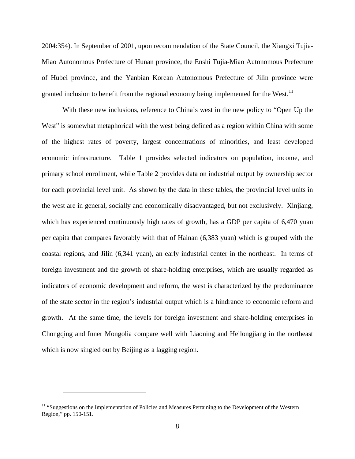2004:354). In September of 2001, upon recommendation of the State Council, the Xiangxi Tujia-Miao Autonomous Prefecture of Hunan province, the Enshi Tujia-Miao Autonomous Prefecture of Hubei province, and the Yanbian Korean Autonomous Prefecture of Jilin province were granted inclusion to benefit from the regional economy being implemented for the West.<sup>[11](#page-13-0)</sup>

With these new inclusions, reference to China's west in the new policy to "Open Up the West" is somewhat metaphorical with the west being defined as a region within China with some of the highest rates of poverty, largest concentrations of minorities, and least developed economic infrastructure. [Table 1](#page-14-1) provides selected indicators on population, income, and primary school enrollment, while [Table 2](#page-15-1) provides data on industrial output by ownership sector for each provincial level unit. As shown by the data in these tables, the provincial level units in the west are in general, socially and economically disadvantaged, but not exclusively. Xinjiang, which has experienced continuously high rates of growth, has a GDP per capita of 6,470 yuan per capita that compares favorably with that of Hainan (6,383 yuan) which is grouped with the coastal regions, and Jilin (6,341 yuan), an early industrial center in the northeast. In terms of foreign investment and the growth of share-holding enterprises, which are usually regarded as indicators of economic development and reform, the west is characterized by the predominance of the state sector in the region's industrial output which is a hindrance to economic reform and growth. At the same time, the levels for foreign investment and share-holding enterprises in Chongqing and Inner Mongolia compare well with Liaoning and Heilongjiang in the northeast which is now singled out by Beijing as a lagging region.

<span id="page-13-0"></span><sup>&</sup>lt;sup>11</sup> "Suggestions on the Implementation of Policies and Measures Pertaining to the Development of the Western Region," pp. 150-151.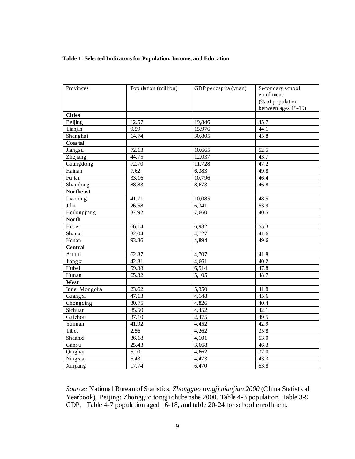#### <span id="page-14-1"></span><span id="page-14-0"></span>**Table 1: Selected Indicators for Population, Income, and Education**

| Provinces      | Population (million) | GDP per capita (yuan) | Secondary school<br>enrollment<br>(% of population<br>between ages 15-19) |
|----------------|----------------------|-----------------------|---------------------------------------------------------------------------|
| <b>Cities</b>  |                      |                       |                                                                           |
| Beijing        | 12.57                | 19,846                | 45.7                                                                      |
| Tianjin        | 9.59                 | 15,976                | 44.1                                                                      |
| Shanghai       | 14.74                | 30,805                | 45.8                                                                      |
| Coastal        |                      |                       |                                                                           |
| Jiangsu        | 72.13                | 10,665                | 52.5                                                                      |
| Zhejiang       | 44.75                | 12,037                | 43.7                                                                      |
| Guangdong      | $\overline{72.70}$   | 11,728                | 47.2                                                                      |
| Hainan         | 7.62                 | 6,383                 | 49.8                                                                      |
| Fujian         | 33.16                | 10,796                | 46.4                                                                      |
| Shandong       | 88.83                | 8,673                 | 46.8                                                                      |
| Nor the ast    |                      |                       |                                                                           |
| Liaoning       | 41.71                | 10,085                | 48.5                                                                      |
| Jilin          | 26.58                | 6,341                 | $\overline{53.9}$                                                         |
| Heilongjiang   | 37.92                | 7,660                 | 40.5                                                                      |
| <b>North</b>   |                      |                       |                                                                           |
| Hebei          | 66.14                | 6,932                 | 55.3                                                                      |
| Shanxi         | 32.04                | 4,727                 | 41.6                                                                      |
| Henan          | 93.86                | 4,894                 | 49.6                                                                      |
| <b>Central</b> |                      |                       |                                                                           |
| Anhui          | 62.37                | 4,707                 | 41.8                                                                      |
| Jiangxi        | 42.31                | 4,661                 | 40.2                                                                      |
| Hubei          | 59.38                | 6,514                 | 47.8                                                                      |
| Hunan          | 65.32                | 5,105                 | 48.7                                                                      |
| West           |                      |                       |                                                                           |
| Inner Mongolia | 23.62                | 5,350                 | 41.8                                                                      |
| Guangxi        | 47.13                | 4,148                 | 45.6                                                                      |
| Chongqing      | 30.75                | 4,826                 | 40.4                                                                      |
| Sichuan        | 85.50                | 4,452                 | 42.1                                                                      |
| Guizhou        | 37.10                | 2,475                 | 49.5                                                                      |
| Yunnan         | 41.92                | 4,452                 | 42.9                                                                      |
| Tibet          | 2.56                 | 4,262                 | 35.8                                                                      |
| Shaanxi        | 36.18                | 4,101                 | $\overline{53.0}$                                                         |
| Gansu          | 25.43                | 3,668                 | 46.3                                                                      |
| Qinghai        | $\overline{5.10}$    | 4,662                 | 37.0                                                                      |
| Ningxia        | 5.43                 | 4,473                 | 43.3                                                                      |
| Xin jiang      | 17.74                | 6,470                 | 53.8                                                                      |

*Source:* National Bureau of Statistics, *Zhongguo tongji nianjian 2000* (China Statistical Yearbook), Beijing: Zhongguo tongji chubanshe 2000. Table 4-3 population, Table 3-9 GDP, Table 4-7 population aged 16-18, and table 20-24 for school enrollment.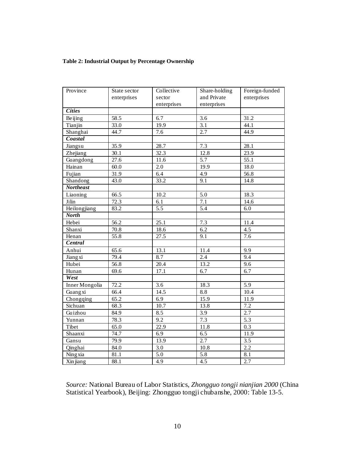## <span id="page-15-1"></span><span id="page-15-0"></span>**Table 2: Industrial Output by Percentage Ownership**

| Province         | State sector      | Collective        | Share-holding    | Foreign-funded    |
|------------------|-------------------|-------------------|------------------|-------------------|
|                  | enterprises       | sector            | and Private      | enterprises       |
|                  |                   | enterprises       | enterprises      |                   |
| <b>Cities</b>    |                   |                   |                  |                   |
| Beijing          | 58.5              | 6.7               | $\overline{3.6}$ | 31.2              |
| Tianjin          | 33.0              | 19.9              | $\overline{3.1}$ | 44.1              |
| Shanghai         | 44.7              | $\overline{7.6}$  | $\overline{2.7}$ | 44.9              |
| Coastal          |                   |                   |                  |                   |
| Jiangsu          | 35.9              | 28.7              | 7.3              | 28.1              |
| Zhejiang         | 30.1              | 32.3              | 12.8             | $\overline{23.9}$ |
| Guangdong        | $\overline{27.6}$ | 11.6              | 5.7              | $\overline{55.1}$ |
| Hainan           | 60.0              | $\overline{2.0}$  | 19.9             | 18.0              |
| Fujian           | 31.9              | 6.4               | $\overline{4.9}$ | 56.8              |
| Shandong         | 43.0              | 33.2              | 9.1              | 14.8              |
| <b>Northeast</b> |                   |                   |                  |                   |
| Liaoning         | 66.5              | 10.2              | $\overline{5.0}$ | 18.3              |
| Jilin            | 72.3              | 6.1               | 7.1              | 14.6              |
| Heilongjiang     | 83.2              | $\overline{5.5}$  | 5.4              | 6.0               |
| <b>North</b>     |                   |                   |                  |                   |
| Hebei            | $\overline{56.2}$ | $\overline{25.1}$ | 7.3              | 11.4              |
| Shanxi           | 70.8              | 18.6              | 6.2              | 4.5               |
| Henan            | $\overline{55.8}$ | $\overline{27.5}$ | 9.1              | 7.6               |
| Central          |                   |                   |                  |                   |
| Anhui            | 65.6              | 13.1              | 11.4             | 9.9               |
| Jiangxi          | 79.4              | 8.7               | 2.4              | $\overline{9.4}$  |
| Hubei            | $\frac{1}{56.8}$  | 20.4              | 13.2             | $\overline{9.6}$  |
| Hunan            | 69.6              | 17.1              | 6.7              | $\overline{6.7}$  |
| West             |                   |                   |                  |                   |
| Inner Mongolia   | 72.2              | 3.6               | 18.3             | $\overline{5.9}$  |
| Guangxi          | 66.4              | 14.5              | 8.8              | 10.4              |
| Chongqing        | 65.2              | 6.9               | 15.9             | 11.9              |
| Sichuan          | 68.3              | 10.7              | 13.8             | 7.2               |
| Guizhou          | 84.9              | 8.5               | 3.9              | 2.7               |
| Yunnan           | 78.3              | $\overline{9.2}$  | 7.3              | $\overline{5.3}$  |
| Tibet            | 65.0              | 22.9              | 11.8             | 0.3               |
| Shaanxi          | 74.7              | 6.9               | 6.5              | 11.9              |
| Gansu            | 79.9              | 13.9              | $\overline{2.7}$ | 3.5               |
| Qinghai          | 84.0              | 3.0               | 10.8             | 2.2               |
| Ningxia          | 81.1              | 5.0               | 5.8              | 8.1               |
| Xin jiang        | 88.1              | 4.9               | $\overline{4.5}$ | 2.7               |

*Source:* National Bureau of Labor Statistics, *Zhongguo tongji nianjian 2000* (China Statistical Yearbook), Beijing: Zhongguo tongji chubanshe, 2000: Table 13-5.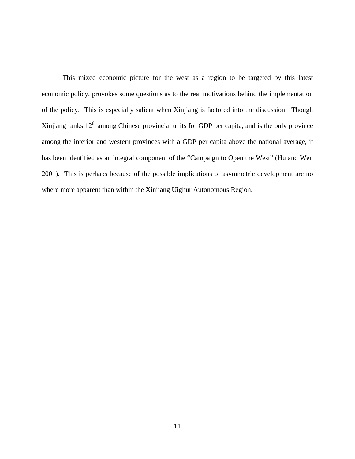This mixed economic picture for the west as a region to be targeted by this latest economic policy, provokes some questions as to the real motivations behind the implementation of the policy. This is especially salient when Xinjiang is factored into the discussion. Though Xinjiang ranks  $12<sup>th</sup>$  among Chinese provincial units for GDP per capita, and is the only province among the interior and western provinces with a GDP per capita above the national average, it has been identified as an integral component of the "Campaign to Open the West" (Hu and Wen 2001). This is perhaps because of the possible implications of asymmetric development are no where more apparent than within the Xinjiang Uighur Autonomous Region.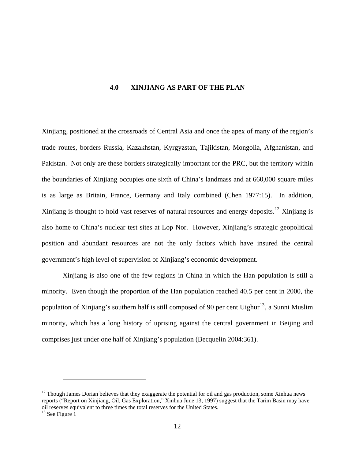#### **4.0 XINJIANG AS PART OF THE PLAN**

<span id="page-17-0"></span>Xinjiang, positioned at the crossroads of Central Asia and once the apex of many of the region's trade routes, borders Russia, Kazakhstan, Kyrgyzstan, Tajikistan, Mongolia, Afghanistan, and Pakistan. Not only are these borders strategically important for the PRC, but the territory within the boundaries of Xinjiang occupies one sixth of China's landmass and at 660,000 square miles is as large as Britain, France, Germany and Italy combined (Chen 1977:15). In addition, Xinjiang is thought to hold vast reserves of natural resources and energy deposits.<sup>[12](#page-17-1)</sup> Xinjiang is also home to China's nuclear test sites at Lop Nor. However, Xinjiang's strategic geopolitical position and abundant resources are not the only factors which have insured the central government's high level of supervision of Xinjiang's economic development.

Xinjiang is also one of the few regions in China in which the Han population is still a minority. Even though the proportion of the Han population reached 40.5 per cent in 2000, the population of Xinjiang's southern half is still composed of 90 per cent Uighur<sup>[13](#page-17-2)</sup>, a Sunni Muslim minority, which has a long history of uprising against the central government in Beijing and comprises just under one half of Xinjiang's population (Becquelin 2004:361).

<span id="page-17-1"></span> $12$  Though James Dorian believes that they exaggerate the potential for oil and gas production, some Xinhua news reports ("Report on Xinjiang, Oil, Gas Exploration," Xinhua June 13, 1997) suggest that the Tarim Basin may have oil reserves equivalent to three times the total reserves for the United States.

<span id="page-17-2"></span> $13$  See Figure 1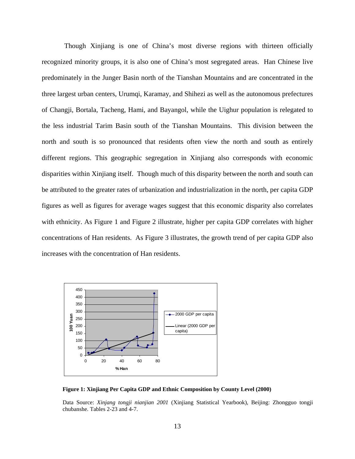<span id="page-18-1"></span><span id="page-18-0"></span> Though Xinjiang is one of China's most diverse regions with thirteen officially recognized minority groups, it is also one of China's most segregated areas. Han Chinese live predominately in the Junger Basin north of the Tianshan Mountains and are concentrated in the three largest urban centers, Urumqi, Karamay, and Shihezi as well as the autonomous prefectures of Changji, Bortala, Tacheng, Hami, and Bayangol, while the Uighur population is relegated to the less industrial Tarim Basin south of the Tianshan Mountains. This division between the north and south is so pronounced that residents often view the north and south as entirely different regions. This geographic segregation in Xinjiang also corresponds with economic disparities within Xinjiang itself. Though much of this disparity between the north and south can be attributed to the greater rates of urbanization and industrialization in the north, per capita GDP figures as well as figures for average wages suggest that this economic disparity also correlates with ethnicity. As Figure 1 and [Figure 2](#page-20-0) illustrate, higher per capita GDP correlates with higher concentrations of Han residents. As [Figure 3](#page-20-0) illustrates, the growth trend of per capita GDP also increases with the concentration of Han residents.



**Figure 1: Xinjiang Per Capita GDP and Ethnic Composition by County Level (2000)** 

Data Source: *Xinjang tongji nianjian 2001* (Xinjiang Statistical Yearbook), Beijing: Zhongguo tongji chubanshe. Tables 2-23 and 4-7.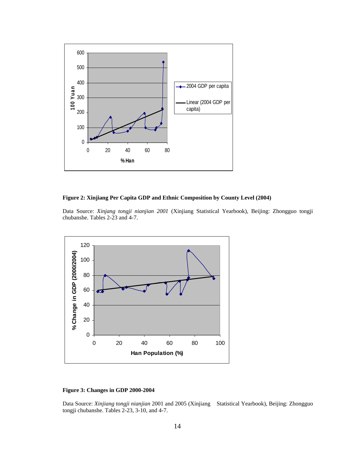<span id="page-19-0"></span>

#### **Figure 2: Xinjiang Per Capita GDP and Ethnic Composition by County Level (2004)**

Data Source: *Xinjang tongji nianjian 2001* (Xinjiang Statistical Yearbook), Beijing: Zhongguo tongji chubanshe. Tables 2-23 and 4-7.



#### **Figure 3: Changes in GDP 2000-2004**

Data Source: *Xinjiang tongji nianjian* 2001 and 2005 (Xinjiang Statistical Yearbook), Beijing: Zhongguo tongji chubanshe. Tables 2-23, 3-10, and 4-7.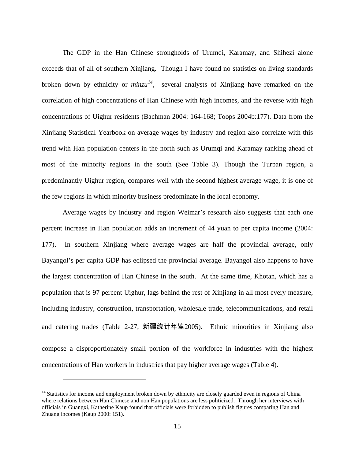<span id="page-20-0"></span>The GDP in the Han Chinese strongholds of Urumqi, Karamay, and Shihezi alone exceeds that of all of southern Xinjiang. Though I have found no statistics on living standards broken down by ethnicity or  $minzu^{14}$  $minzu^{14}$  $minzu^{14}$ , several analysts of Xinjiang have remarked on the correlation of high concentrations of Han Chinese with high incomes, and the reverse with high concentrations of Uighur residents (Bachman 2004: 164-168; Toops 2004b:177). Data from the Xinjiang Statistical Yearbook on average wages by industry and region also correlate with this trend with Han population centers in the north such as Urumqi and Karamay ranking ahead of most of the minority regions in the south (See Table 3). Though the Turpan region, a predominantly Uighur region, compares well with the second highest average wage, it is one of the few regions in which minority business predominate in the local economy.

Average wages by industry and region Weimar's research also suggests that each one percent increase in Han population adds an increment of 44 yuan to per capita income (2004: 177). In southern Xinjiang where average wages are half the provincial average, only Bayangol's per capita GDP has eclipsed the provincial average. Bayangol also happens to have the largest concentration of Han Chinese in the south. At the same time, Khotan, which has a population that is 97 percent Uighur, lags behind the rest of Xinjiang in all most every measure, including industry, construction, transportation, wholesale trade, telecommunications, and retail and catering trades (Table 2-27, 新疆统计年鉴2005). Ethnic minorities in Xinjiang also compose a disproportionately small portion of the workforce in industries with the highest concentrations of Han workers in industries that pay higher average wages ([Table 4\).](#page-22-1)

<span id="page-20-1"></span><sup>&</sup>lt;sup>14</sup> Statistics for income and employment broken down by ethnicity are closely guarded even in regions of China where relations between Han Chinese and non Han populations are less politicized. Through her interviews with officials in Guangxi, Katherine Kaup found that officials were forbidden to publish figures comparing Han and Zhuang incomes (Kaup 2000: 151).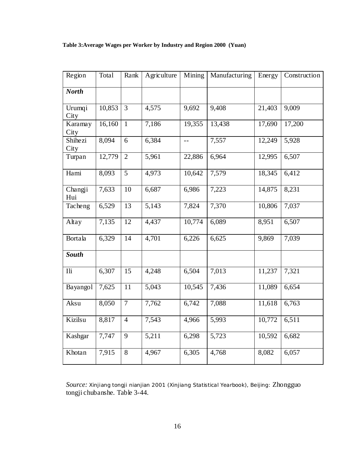<span id="page-21-0"></span>**Table 3:Average Wages per Worker by Industry and Region 2000 (Yuan)** 

| Region                 | Total  | Rank            | Agriculture        | Mining | Manufacturing | Energy | Construction |
|------------------------|--------|-----------------|--------------------|--------|---------------|--------|--------------|
| <b>North</b>           |        |                 |                    |        |               |        |              |
| Urumqi<br>City         | 10,853 | $\overline{3}$  | 4,575              | 9,692  | 9,408         | 21,403 | 9,009        |
| Karamay<br>City        | 16,160 | $\overline{1}$  | 7,186              | 19,355 | 13,438        | 17,690 | 17,200       |
| <b>Shihezi</b><br>City | 8,094  | 6               | 6,384              | $-$    | 7,557         | 12,249 | 5,928        |
| Turpan                 | 12,779 | $\overline{2}$  | 5,961              | 22,886 | 6,964         | 12,995 | 6,507        |
| Hami                   | 8,093  | 5               | 4,973              | 10,642 | 7,579         | 18,345 | 6,412        |
| Changji<br>Hui         | 7,633  | 10              | 6,687              | 6,986  | 7,223         | 14,875 | 8,231        |
| Tacheng                | 6,529  | $\overline{13}$ | $\overline{5,143}$ | 7,824  | 7,370         | 10,806 | 7,037        |
| Altay                  | 7,135  | 12              | 4,437              | 10,774 | 6,089         | 8,951  | 6,507        |
| Bortala                | 6,329  | 14              | 4,701              | 6,226  | 6,625         | 9,869  | 7,039        |
| <b>South</b>           |        |                 |                    |        |               |        |              |
| Ili                    | 6,307  | $\overline{15}$ | 4,248              | 6,504  | 7,013         | 11,237 | 7,321        |
| Bayangol               | 7,625  | $\overline{11}$ | 5,043              | 10,545 | 7,436         | 11,089 | 6,654        |
| Aksu                   | 8,050  | $\tau$          | 7,762              | 6,742  | 7,088         | 11,618 | 6,763        |
| Kizilsu                | 8,817  | $\overline{4}$  | 7,543              | 4,966  | 5,993         | 10,772 | 6,511        |
| Kashgar                | 7,747  | 9               | 5,211              | 6,298  | 5,723         | 10,592 | 6,682        |
| Khotan                 | 7,915  | 8               | 4,967              | 6,305  | 4,768         | 8,082  | 6,057        |

*Source: Xinjiang tongji nianjian* 2001 *(*Xinjiang Statistical Yearbook), Beijing: Zhongguo tongji chubanshe. Table 3-44.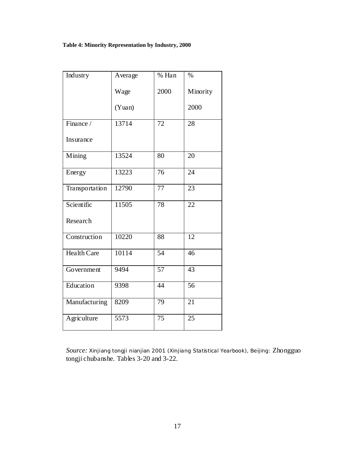## <span id="page-22-1"></span><span id="page-22-0"></span>**Table 4: Minority Representation by Industry, 2000**

| Industry       | Average | % Han           | $\%$     |
|----------------|---------|-----------------|----------|
|                | Wage    | 2000            | Minority |
|                | (Yuan)  |                 | 2000     |
| Finance /      | 13714   | 72              | 28       |
| Insurance      |         |                 |          |
| Mining         | 13524   | 80              | 20       |
| Energy         | 13223   | 76              | 24       |
| Transportation | 12790   | 77              | 23       |
| Scientific     | 11505   | 78              | 22       |
| Research       |         |                 |          |
| Construction   | 10220   | 88              | 12       |
| Health Care    | 10114   | 54              | 46       |
| Government     | 9494    | 57              | 43       |
| Education      | 9398    | 44              | 56       |
| Manufacturing  | 8209    | 79              | 21       |
| Agriculture    | 5573    | $\overline{75}$ | 25       |

*Source: Xinjiang tongji nianjian* 2001 *(*Xinjiang Statistical Yearbook), Beijing: Zhongguo tongji chubanshe. Tables 3-20 and 3-22.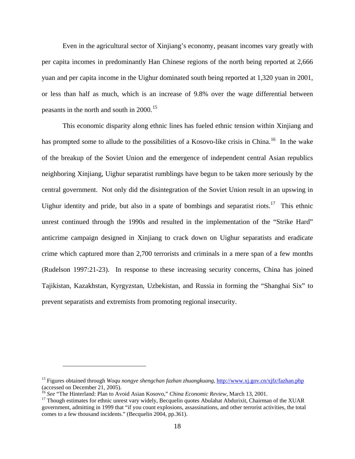Even in the agricultural sector of Xinjiang's economy, peasant incomes vary greatly with per capita incomes in predominantly Han Chinese regions of the north being reported at 2,666 yuan and per capita income in the Uighur dominated south being reported at 1,320 yuan in 2001, or less than half as much, which is an increase of 9.8% over the wage differential between peasants in the north and south in  $2000$ .<sup>[15](#page-23-0)</sup>

This economic disparity along ethnic lines has fueled ethnic tension within Xinjiang and has prompted some to allude to the possibilities of a Kosovo-like crisis in China.<sup>[16](#page-23-1)</sup> In the wake of the breakup of the Soviet Union and the emergence of independent central Asian republics neighboring Xinjiang, Uighur separatist rumblings have begun to be taken more seriously by the central government. Not only did the disintegration of the Soviet Union result in an upswing in Uighur identity and pride, but also in a spate of bombings and separatist riots.<sup>[17](#page-23-2)</sup> This ethnic unrest continued through the 1990s and resulted in the implementation of the "Strike Hard" anticrime campaign designed in Xinjiang to crack down on Uighur separatists and eradicate crime which captured more than 2,700 terrorists and criminals in a mere span of a few months (Rudelson 1997:21-23). In response to these increasing security concerns, China has joined Tajikistan, Kazakhstan, Kyrgyzstan, Uzbekistan, and Russia in forming the "Shanghai Six" to prevent separatists and extremists from promoting regional insecurity.

<span id="page-23-0"></span><sup>15</sup> Figures obtained through *Woqu nongye shengchan fazhan zhuangkuang,* <http://www.xj.gov.cn/xjfz/fazhan.php> (accessed on December 21, 2005).<br><sup>16</sup> See "The Hinterland: Plan to Avoid Asian Kosovo," China Economic Review, March 13, 2001.

<span id="page-23-2"></span><span id="page-23-1"></span><sup>&</sup>lt;sup>17</sup> Though estimates for ethnic unrest vary widely, Becquelin quotes Abulahat Abdurixit, Chairman of the XUAR government, admitting in 1999 that "if you count explosions, assassinations, and other terrorist activities, the total comes to a few thousand incidents." (Becquelin 2004, pp.361).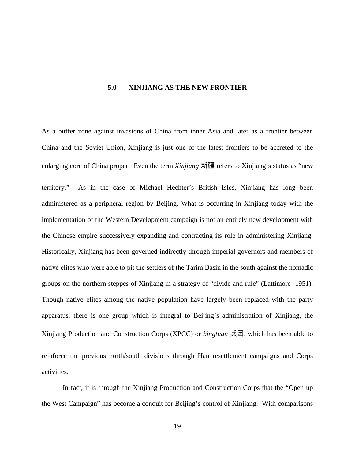#### **5.0 XINJIANG AS THE NEW FRONTIER**

<span id="page-24-0"></span>As a buffer zone against invasions of China from inner Asia and later as a frontier between China and the Soviet Union, Xinjiang is just one of the latest frontiers to be accreted to the enlarging core of China proper. Even the term *Xinjiang* 新疆 refers to Xinjiang's status as "new territory." As in the case of Michael Hechter's British Isles, Xinjiang has long been administered as a peripheral region by Beijing. What is occurring in Xinjiang today with the implementation of the Western Development campaign is not an entirely new development with the Chinese empire successively expanding and contracting its role in administering Xinjiang. Historically, Xinjiang has been governed indirectly through imperial governors and members of native elites who were able to pit the settlers of the Tarim Basin in the south against the nomadic groups on the northern steppes of Xinjiang in a strategy of "divide and rule" (Lattimore 1951). Though native elites among the native population have largely been replaced with the party apparatus, there is one group which is integral to Beijing's administration of Xinjiang, the Xinjiang Production and Construction Corps (XPCC) or *bingtuan* 兵团, which has been able to reinforce the previous north/south divisions through Han resettlement campaigns and Corps activities.

In fact, it is through the Xinjiang Production and Construction Corps that the "Open up the West Campaign" has become a conduit for Beijing's control of Xinjiang. With comparisons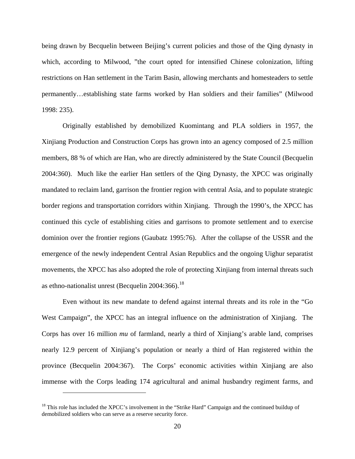being drawn by Becquelin between Beijing's current policies and those of the Qing dynasty in which, according to Milwood, "the court opted for intensified Chinese colonization, lifting restrictions on Han settlement in the Tarim Basin, allowing merchants and homesteaders to settle permanently…establishing state farms worked by Han soldiers and their families" (Milwood 1998: 235).

Originally established by demobilized Kuomintang and PLA soldiers in 1957, the Xinjiang Production and Construction Corps has grown into an agency composed of 2.5 million members, 88 % of which are Han, who are directly administered by the State Council (Becquelin 2004:360). Much like the earlier Han settlers of the Qing Dynasty, the XPCC was originally mandated to reclaim land, garrison the frontier region with central Asia, and to populate strategic border regions and transportation corridors within Xinjiang. Through the 1990's, the XPCC has continued this cycle of establishing cities and garrisons to promote settlement and to exercise dominion over the frontier regions (Gaubatz 1995:76). After the collapse of the USSR and the emergence of the newly independent Central Asian Republics and the ongoing Uighur separatist movements, the XPCC has also adopted the role of protecting Xinjiang from internal threats such as ethno-nationalist unrest (Becquelin  $2004:366$ ).<sup>[18](#page-25-0)</sup>

Even without its new mandate to defend against internal threats and its role in the "Go West Campaign", the XPCC has an integral influence on the administration of Xinjiang. The Corps has over 16 million *mu* of farmland, nearly a third of Xinjiang's arable land, comprises nearly 12.9 percent of Xinjiang's population or nearly a third of Han registered within the province (Becquelin 2004:367). The Corps' economic activities within Xinjiang are also immense with the Corps leading 174 agricultural and animal husbandry regiment farms, and

<span id="page-25-0"></span><sup>&</sup>lt;sup>18</sup> This role has included the XPCC's involvement in the "Strike Hard" Campaign and the continued buildup of demobilized soldiers who can serve as a reserve security force.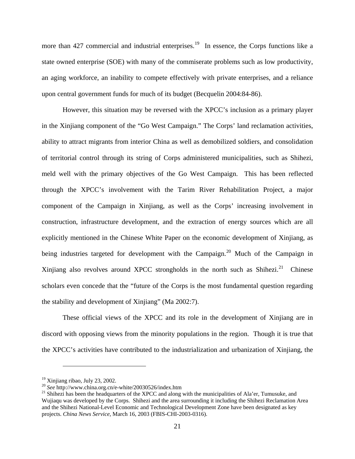more than 427 commercial and industrial enterprises.<sup>[19](#page-26-0)</sup> In essence, the Corps functions like a state owned enterprise (SOE) with many of the commiserate problems such as low productivity, an aging workforce, an inability to compete effectively with private enterprises, and a reliance upon central government funds for much of its budget (Becquelin 2004:84-86).

However, this situation may be reversed with the XPCC's inclusion as a primary player in the Xinjiang component of the "Go West Campaign." The Corps' land reclamation activities, ability to attract migrants from interior China as well as demobilized soldiers, and consolidation of territorial control through its string of Corps administered municipalities, such as Shihezi, meld well with the primary objectives of the Go West Campaign. This has been reflected through the XPCC's involvement with the Tarim River Rehabilitation Project, a major component of the Campaign in Xinjiang, as well as the Corps' increasing involvement in construction, infrastructure development, and the extraction of energy sources which are all explicitly mentioned in the Chinese White Paper on the economic development of Xinjiang, as being industries targeted for development with the Campaign.<sup>[20](#page-26-1)</sup> Much of the Campaign in Xinjiang also revolves around XPCC strongholds in the north such as Shihezi.<sup>[21](#page-26-2)</sup> Chinese scholars even concede that the "future of the Corps is the most fundamental question regarding the stability and development of Xinjiang" (Ma 2002:7).

These official views of the XPCC and its role in the development of Xinjiang are in discord with opposing views from the minority populations in the region. Though it is true that the XPCC's activities have contributed to the industrialization and urbanization of Xinjiang, the

<span id="page-26-0"></span><sup>&</sup>lt;sup>19</sup> Xinjiang ribao, July 23, 2002.<br><sup>20</sup> See http://www.china.org.cn/e-white/20030526/index.htm

<span id="page-26-2"></span><span id="page-26-1"></span><sup>&</sup>lt;sup>21</sup> Shihezi has been the headquarters of the XPCC and along with the municipalities of Ala'er, Tumusuke, and Wujiaqu was developed by the Corps. Shihezi and the area surrounding it including the Shihezi Reclamation Area and the Shihezi National-Level Economic and Technological Development Zone have been designated as key projects. *China News Service,* March 16, 2003 (FBIS-CHI-2003-0316).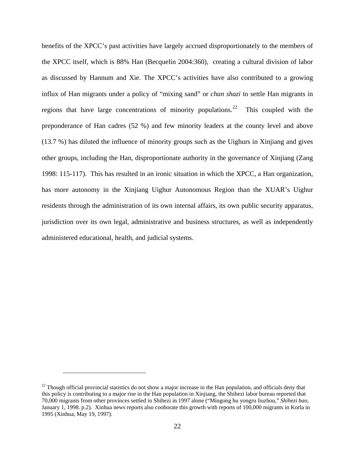benefits of the XPCC's past activities have largely accrued disproportionately to the members of the XPCC itself, which is 88% Han (Becquelin 2004:360), creating a cultural division of labor as discussed by Hannum and Xie. The XPCC's activities have also contributed to a growing influx of Han migrants under a policy of "mixing sand" or *chan shazi* to settle Han migrants in regions that have large concentrations of minority populations.<sup>[22](#page-27-0)</sup> This coupled with the preponderance of Han cadres (52 %) and few minority leaders at the county level and above (13.7 %) has diluted the influence of minority groups such as the Uighurs in Xinjiang and gives other groups, including the Han, disproportionate authority in the governance of Xinjiang (Zang 1998: 115-117). This has resulted in an ironic situation in which the XPCC, a Han organization, has more autonomy in the Xinjiang Uighur Autonomous Region than the XUAR's Uighur residents through the administration of its own internal affairs, its own public security apparatus, jurisdiction over its own legal, administrative and business structures, as well as independently administered educational, health, and judicial systems.

<span id="page-27-0"></span> $22$  Though official provincial statistics do not show a major increase in the Han population, and officials deny that this policy is contributing to a major rise in the Han population in Xinjiang, the Shihezi labor bureau reported that 70,000 migrants from other provinces settled in Shihezi in 1997 alone ("Mingong hu yongru liuzhou," *Shihezi bao,*  January 1, 1998. p.2). Xinhua news reports also cooborate this growth with reports of 100,000 migrants in Korla in 1995 (Xinhua, May 19, 1997).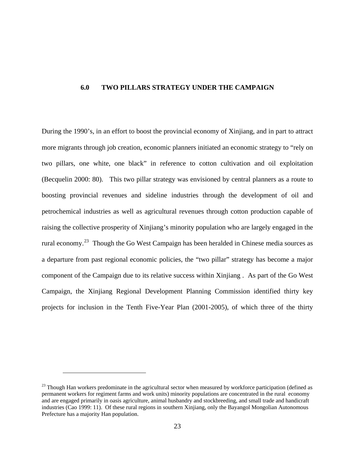#### <span id="page-28-0"></span>**6.0 TWO PILLARS STRATEGY UNDER THE CAMPAIGN**

During the 1990's, in an effort to boost the provincial economy of Xinjiang, and in part to attract more migrants through job creation, economic planners initiated an economic strategy to "rely on two pillars, one white, one black" in reference to cotton cultivation and oil exploitation (Becquelin 2000: 80). This two pillar strategy was envisioned by central planners as a route to boosting provincial revenues and sideline industries through the development of oil and petrochemical industries as well as agricultural revenues through cotton production capable of raising the collective prosperity of Xinjiang's minority population who are largely engaged in the rural economy.[23](#page-28-1) Though the Go West Campaign has been heralded in Chinese media sources as a departure from past regional economic policies, the "two pillar" strategy has become a major component of the Campaign due to its relative success within Xinjiang . As part of the Go West Campaign, the Xinjiang Regional Development Planning Commission identified thirty key projects for inclusion in the Tenth Five-Year Plan (2001-2005), of which three of the thirty

<span id="page-28-1"></span> $23$  Though Han workers predominate in the agricultural sector when measured by workforce participation (defined as permanent workers for regiment farms and work units) minority populations are concentrated in the rural economy and are engaged primarily in oasis agriculture, animal husbandry and stockbreeding, and small trade and handicraft industries (Cao 1999: 11). Of these rural regions in southern Xinjiang, only the Bayangol Mongolian Autonomous Prefecture has a majority Han population.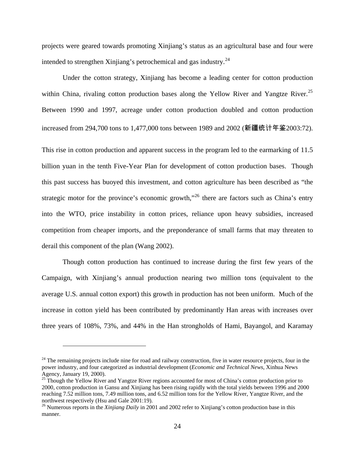projects were geared towards promoting Xinjiang's status as an agricultural base and four were intended to strengthen Xinjiang's petrochemical and gas industry. $^{24}$  $^{24}$  $^{24}$ 

Under the cotton strategy, Xinjiang has become a leading center for cotton production within China, rivaling cotton production bases along the Yellow River and Yangtze River.<sup>25</sup> Between 1990 and 1997, acreage under cotton production doubled and cotton production increased from 294,700 tons to 1,477,000 tons between 1989 and 2002 (新疆统计年鉴2003:72).

This rise in cotton production and apparent success in the program led to the earmarking of 11.5 billion yuan in the tenth Five-Year Plan for development of cotton production bases. Though this past success has buoyed this investment, and cotton agriculture has been described as "the strategic motor for the province's economic growth,"<sup>[26](#page-29-2)</sup> there are factors such as China's entry into the WTO, price instability in cotton prices, reliance upon heavy subsidies, increased competition from cheaper imports, and the preponderance of small farms that may threaten to derail this component of the plan (Wang 2002).

Though cotton production has continued to increase during the first few years of the Campaign, with Xinjiang's annual production nearing two million tons (equivalent to the average U.S. annual cotton export) this growth in production has not been uniform. Much of the increase in cotton yield has been contributed by predominantly Han areas with increases over three years of 108%, 73%, and 44% in the Han strongholds of Hami, Bayangol, and Karamay

<span id="page-29-0"></span> $24$  The remaining projects include nine for road and railway construction, five in water resource projects, four in the power industry, and four categorized as industrial development (*Economic and Technical News,* Xinhua News Agency, January 19, 2000).

<span id="page-29-1"></span><sup>&</sup>lt;sup>25</sup> Though the Yellow River and Yangtze River regions accounted for most of China's cotton production prior to 2000, cotton production in Gansu and Xinjiang has been rising rapidly with the total yields between 1996 and 2000 reaching 7.52 million tons, 7.49 million tons, and 6.52 million tons for the Yellow River, Yangtze River, and the northwest respectively (Hsu and Gale 2001:19).

<span id="page-29-2"></span><sup>&</sup>lt;sup>26</sup> Numerous reports in the *Xinjiang Daily* in 2001 and 2002 refer to Xinjiang's cotton production base in this manner.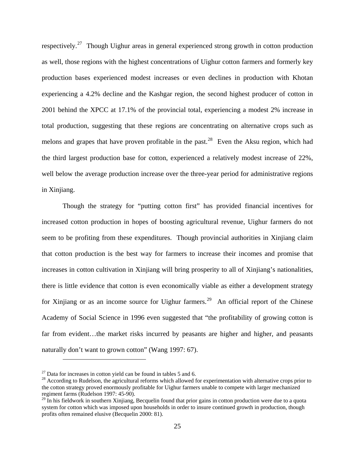respectively.<sup>[27](#page-30-0)</sup> Though Uighur areas in general experienced strong growth in cotton production as well, those regions with the highest concentrations of Uighur cotton farmers and formerly key production bases experienced modest increases or even declines in production with Khotan experiencing a 4.2% decline and the Kashgar region, the second highest producer of cotton in 2001 behind the XPCC at 17.1% of the provincial total, experiencing a modest 2% increase in total production, suggesting that these regions are concentrating on alternative crops such as melons and grapes that have proven profitable in the past.<sup>[28](#page-30-1)</sup> Even the Aksu region, which had the third largest production base for cotton, experienced a relatively modest increase of 22%, well below the average production increase over the three-year period for administrative regions in Xinjiang.

Though the strategy for "putting cotton first" has provided financial incentives for increased cotton production in hopes of boosting agricultural revenue, Uighur farmers do not seem to be profiting from these expenditures. Though provincial authorities in Xinjiang claim that cotton production is the best way for farmers to increase their incomes and promise that increases in cotton cultivation in Xinjiang will bring prosperity to all of Xinjiang's nationalities, there is little evidence that cotton is even economically viable as either a development strategy for Xinjiang or as an income source for Uighur farmers.<sup>[29](#page-30-2)</sup> An official report of the Chinese Academy of Social Science in 1996 even suggested that "the profitability of growing cotton is far from evident...the market risks incurred by peasants are higher and higher, and peasants naturally don't want to grown cotton" (Wang 1997: 67).

<span id="page-30-1"></span><span id="page-30-0"></span><sup>&</sup>lt;sup>27</sup> Data for increases in cotton yield can be found in tables 5 [and 6.](#page-31-1)<br><sup>28</sup> According to Rudelson, the agricultural reforms which allowed for experimentation with alternative crops prior to the cotton strategy proved enormously profitable for Uighur farmers unable to compete with larger mechanized regiment farms (Rudelson 1997: 45-90).

<span id="page-30-2"></span> $29$  In his fieldwork in southern Xinjiang, Becquelin found that prior gains in cotton production were due to a quota system for cotton which was imposed upon households in order to insure continued growth in production, though profits often remained elusive (Becquelin 2000: 81).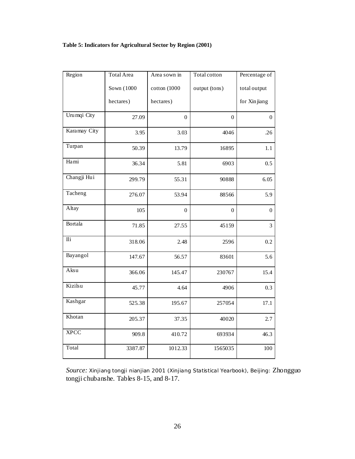## <span id="page-31-1"></span><span id="page-31-0"></span>**Table 5: Indicators for Agricultural Sector by Region (2001)**

| Region                  | <b>Total Area</b> | Area sown in     | Total cotton   | Percentage of    |
|-------------------------|-------------------|------------------|----------------|------------------|
|                         | Sown (1000        | cotton (1000     | output (tons)  | total output     |
|                         | hectares)         | hectares)        |                | for Xinjiang     |
| Urumqi City             | 27.09             | $\boldsymbol{0}$ | $\overline{0}$ | $\overline{0}$   |
| Karamay City            | 3.95              | 3.03             | 4046           | .26              |
| Turpan                  | 50.39             | 13.79            | 16895          | 1.1              |
| Hami                    | 36.34             | 5.81             | 6903           | 0.5              |
| Changji Hui             | 299.79            | 55.31            | 90888          | 6.05             |
| Tacheng                 | 276.07            | 53.94            | 88566          | 5.9              |
| Altay                   | 105               | $\overline{0}$   | $\overline{0}$ | $\boldsymbol{0}$ |
| Bortala                 | 71.85             | 27.55            | 45159          | 3                |
| $\overline{\text{I1i}}$ | 318.06            | 2.48             | 2596           | 0.2              |
| Bayangol                | 147.67            | 56.57            | 83601          | 5.6              |
| Aksu                    | 366.06            | 145.47           | 230767         | 15.4             |
| Kizilsu                 | 45.77             | 4.64             | 4906           | 0.3              |
| Kashgar                 | 525.38            | 195.67           | 257054         | 17.1             |
| Khotan                  | 205.37            | 37.35            | 40020          | 2.7              |
| <b>XPCC</b>             | 909.8             | 410.72           | 693934         | 46.3             |
| Total                   | 3387.87           | 1012.33          | 1565035        | 100              |

*Source: Xinjiang tongji nianjian* 2001 *(*Xinjiang Statistical Yearbook), Beijing: Zhongguo tongji chubanshe. Tables 8-15, and 8-17.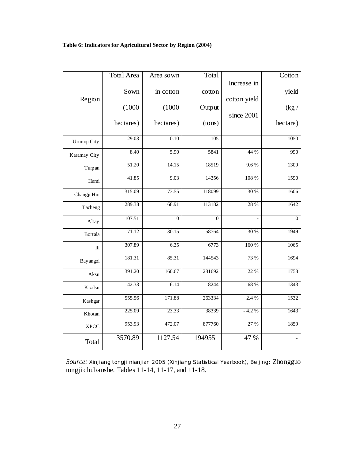## <span id="page-32-0"></span>**Table 6: Indicators for Agricultural Sector by Region (2004)**

|                  | <b>Total Area</b> | Area sown      | Total          |                | Cotton         |
|------------------|-------------------|----------------|----------------|----------------|----------------|
|                  |                   |                |                | Increase in    |                |
| Region           | Sown              | in cotton      | cotton         | cotton yield   | yield          |
|                  | (1000)            | (1000)         | Output         |                | (kg /          |
|                  |                   |                |                | since 2001     |                |
|                  | hectares)         | hectares)      | (tons)         |                | hectare)       |
| Urumqi City      | 29.03             | 0.10           | 105            |                | 1050           |
|                  | 8.40              | 5.90           | 5841           | 44 %           | 990            |
| Karamay City     |                   |                |                |                |                |
| Turpan           | 51.20             | 14.15          | 18519          | 9.6%           | 1309           |
| Hami             | 41.85             | 9.03           | 14356          | 108 %          | 1590           |
| Changji Hui      | 315.09            | 73.55          | 118099         | 30 %           | 1606           |
| Tacheng          | 289.38            | 68.91          | 113182         | 28 %           | 1642           |
| Altay            | 107.51            | $\overline{0}$ | $\overline{0}$ | $\overline{a}$ | $\overline{0}$ |
| <b>Bortala</b>   | 71.12             | 30.15          | 58764          | 30 %           | 1949           |
| $\rm{Ili}$       | 307.89            | 6.35           | 6773           | 160 %          | 1065           |
| <b>Bay</b> angol | 181.31            | 85.31          | 144543         | 73 %           | 1694           |
| Aksu             | 391.20            | 160.67         | 281692         | 22 %           | 1753           |
| Kizilsu          | 42.33             | 6.14           | 8244           | 68 %           | 1343           |
| Kashgar          | 555.56            | 171.88         | 263334         | 2.4 %          | 1532           |
| Khotan           | 225.09            | 23.33          | 38339          | $-4.2%$        | 1643           |
| <b>XPCC</b>      | 953.93            | 472.07         | 877760         | 27 %           | 1859           |
| Total            | 3570.89           | 1127.54        | 1949551        | 47 %           | $\overline{a}$ |

*Source: Xinjiang tongji nianjian* 2005 *(*Xinjiang Statistical Yearbook), Beijing: Zhongguo tongji chubanshe. Tables 11-14, 11-17, and 11-18.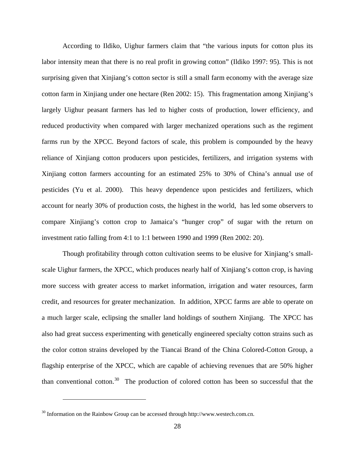According to Ildiko, Uighur farmers claim that "the various inputs for cotton plus its labor intensity mean that there is no real profit in growing cotton" (Ildiko 1997: 95). This is not surprising given that Xinjiang's cotton sector is still a small farm economy with the average size cotton farm in Xinjiang under one hectare (Ren 2002: 15). This fragmentation among Xinjiang's largely Uighur peasant farmers has led to higher costs of production, lower efficiency, and reduced productivity when compared with larger mechanized operations such as the regiment farms run by the XPCC. Beyond factors of scale, this problem is compounded by the heavy reliance of Xinjiang cotton producers upon pesticides, fertilizers, and irrigation systems with Xinjiang cotton farmers accounting for an estimated 25% to 30% of China's annual use of pesticides (Yu et al. 2000). This heavy dependence upon pesticides and fertilizers, which account for nearly 30% of production costs, the highest in the world, has led some observers to compare Xinjiang's cotton crop to Jamaica's "hunger crop" of sugar with the return on investment ratio falling from 4:1 to 1:1 between 1990 and 1999 (Ren 2002: 20).

Though profitability through cotton cultivation seems to be elusive for Xinjiang's smallscale Uighur farmers, the XPCC, which produces nearly half of Xinjiang's cotton crop, is having more success with greater access to market information, irrigation and water resources, farm credit, and resources for greater mechanization. In addition, XPCC farms are able to operate on a much larger scale, eclipsing the smaller land holdings of southern Xinjiang. The XPCC has also had great success experimenting with genetically engineered specialty cotton strains such as the color cotton strains developed by the Tiancai Brand of the China Colored-Cotton Group, a flagship enterprise of the XPCC, which are capable of achieving revenues that are 50% higher than conventional cotton.<sup>[30](#page-33-0)</sup> The production of colored cotton has been so successful that the

<span id="page-33-0"></span> $30$  Information on the Rainbow Group can be accessed through http://www.westech.com.cn.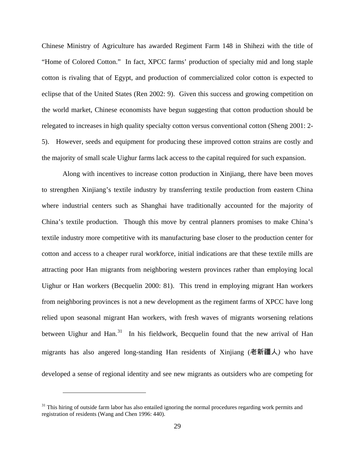Chinese Ministry of Agriculture has awarded Regiment Farm 148 in Shihezi with the title of "Home of Colored Cotton." In fact, XPCC farms' production of specialty mid and long staple cotton is rivaling that of Egypt, and production of commercialized color cotton is expected to eclipse that of the United States (Ren 2002: 9). Given this success and growing competition on the world market, Chinese economists have begun suggesting that cotton production should be relegated to increases in high quality specialty cotton versus conventional cotton (Sheng 2001: 2- 5). However, seeds and equipment for producing these improved cotton strains are costly and the majority of small scale Uighur farms lack access to the capital required for such expansion.

Along with incentives to increase cotton production in Xinjiang, there have been moves to strengthen Xinjiang's textile industry by transferring textile production from eastern China where industrial centers such as Shanghai have traditionally accounted for the majority of China's textile production. Though this move by central planners promises to make China's textile industry more competitive with its manufacturing base closer to the production center for cotton and access to a cheaper rural workforce, initial indications are that these textile mills are attracting poor Han migrants from neighboring western provinces rather than employing local Uighur or Han workers (Becquelin 2000: 81). This trend in employing migrant Han workers from neighboring provinces is not a new development as the regiment farms of XPCC have long relied upon seasonal migrant Han workers, with fresh waves of migrants worsening relations between Uighur and Han.<sup>[31](#page-34-0)</sup> In his fieldwork, Becquelin found that the new arrival of Han migrants has also angered long-standing Han residents of Xinjiang (老新疆人*)* who have developed a sense of regional identity and see new migrants as outsiders who are competing for

<span id="page-34-0"></span><sup>&</sup>lt;sup>31</sup> This hiring of outside farm labor has also entailed ignoring the normal procedures regarding work permits and registration of residents (Wang and Chen 1996: 440).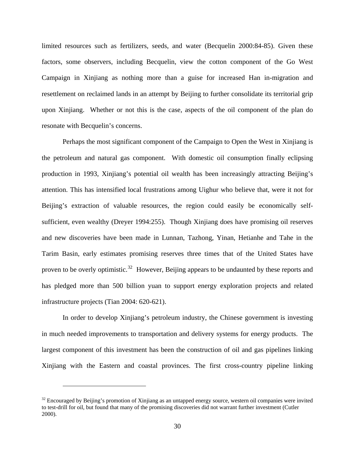limited resources such as fertilizers, seeds, and water (Becquelin 2000:84-85). Given these factors, some observers, including Becquelin, view the cotton component of the Go West Campaign in Xinjiang as nothing more than a guise for increased Han in-migration and resettlement on reclaimed lands in an attempt by Beijing to further consolidate its territorial grip upon Xinjiang. Whether or not this is the case, aspects of the oil component of the plan do resonate with Becquelin's concerns.

Perhaps the most significant component of the Campaign to Open the West in Xinjiang is the petroleum and natural gas component. With domestic oil consumption finally eclipsing production in 1993, Xinjiang's potential oil wealth has been increasingly attracting Beijing's attention. This has intensified local frustrations among Uighur who believe that, were it not for Beijing's extraction of valuable resources, the region could easily be economically selfsufficient, even wealthy (Dreyer 1994:255). Though Xinjiang does have promising oil reserves and new discoveries have been made in Lunnan, Tazhong, Yinan, Hetianhe and Tahe in the Tarim Basin, early estimates promising reserves three times that of the United States have proven to be overly optimistic.<sup>[32](#page-35-0)</sup> However, Beijing appears to be undaunted by these reports and has pledged more than 500 billion yuan to support energy exploration projects and related infrastructure projects (Tian 2004: 620-621).

In order to develop Xinjiang's petroleum industry, the Chinese government is investing in much needed improvements to transportation and delivery systems for energy products. The largest component of this investment has been the construction of oil and gas pipelines linking Xinjiang with the Eastern and coastal provinces. The first cross-country pipeline linking

<span id="page-35-0"></span> $32$  Encouraged by Beijing's promotion of Xinjiang as an untapped energy source, western oil companies were invited to test-drill for oil, but found that many of the promising discoveries did not warrant further investment (Cutler 2000).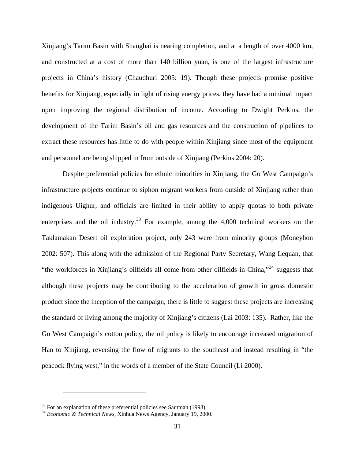Xinjiang's Tarim Basin with Shanghai is nearing completion, and at a length of over 4000 km, and constructed at a cost of more than 140 billion yuan, is one of the largest infrastructure projects in China's history (Chaudhuri 2005: 19). Though these projects promise positive benefits for Xinjiang, especially in light of rising energy prices, they have had a minimal impact upon improving the regional distribution of income. According to Dwight Perkins, the development of the Tarim Basin's oil and gas resources and the construction of pipelines to extract these resources has little to do with people within Xinjiang since most of the equipment and personnel are being shipped in from outside of Xinjiang (Perkins 2004: 20).

Despite preferential policies for ethnic minorities in Xinjiang, the Go West Campaign's infrastructure projects continue to siphon migrant workers from outside of Xinjiang rather than indigenous Uighur, and officials are limited in their ability to apply quotas to both private enterprises and the oil industry.<sup>[33](#page-36-0)</sup> For example, among the  $4,000$  technical workers on the Taklamakan Desert oil exploration project, only 243 were from minority groups (Moneyhon 2002: 507). This along with the admission of the Regional Party Secretary, Wang Lequan, that "the workforces in Xinjiang's oilfields all come from other oilfields in China,"[34](#page-36-1) suggests that although these projects may be contributing to the acceleration of growth in gross domestic product since the inception of the campaign, there is little to suggest these projects are increasing the standard of living among the majority of Xinjiang's citizens (Lai 2003: 135). Rather, like the Go West Campaign's cotton policy, the oil policy is likely to encourage increased migration of Han to Xinjiang, reversing the flow of migrants to the southeast and instead resulting in "the peacock flying west," in the words of a member of the State Council (Li 2000).

<span id="page-36-1"></span>

<span id="page-36-0"></span><sup>33</sup> For an explanation of these preferential policies see Sautman (1998). 34 *Economic & Technical News,* Xinhua News Agency, January 19, 2000.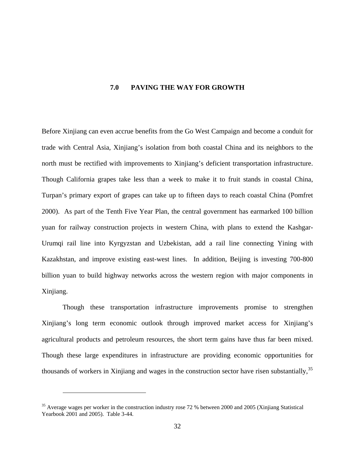#### **7.0 PAVING THE WAY FOR GROWTH**

<span id="page-37-0"></span>Before Xinjiang can even accrue benefits from the Go West Campaign and become a conduit for trade with Central Asia, Xinjiang's isolation from both coastal China and its neighbors to the north must be rectified with improvements to Xinjiang's deficient transportation infrastructure. Though California grapes take less than a week to make it to fruit stands in coastal China, Turpan's primary export of grapes can take up to fifteen days to reach coastal China (Pomfret 2000). As part of the Tenth Five Year Plan, the central government has earmarked 100 billion yuan for railway construction projects in western China, with plans to extend the Kashgar-Urumqi rail line into Kyrgyzstan and Uzbekistan, add a rail line connecting Yining with Kazakhstan, and improve existing east-west lines. In addition, Beijing is investing 700-800 billion yuan to build highway networks across the western region with major components in Xinjiang.

Though these transportation infrastructure improvements promise to strengthen Xinjiang's long term economic outlook through improved market access for Xinjiang's agricultural products and petroleum resources, the short term gains have thus far been mixed. Though these large expenditures in infrastructure are providing economic opportunities for thousands of workers in Xinjiang and wages in the construction sector have risen substantially,<sup>[35](#page-37-1)</sup>

1

<span id="page-37-1"></span><sup>&</sup>lt;sup>35</sup> Average wages per worker in the construction industry rose 72 % between 2000 and 2005 (Xinjiang Statistical Yearbook 2001 and 2005). Table 3-44.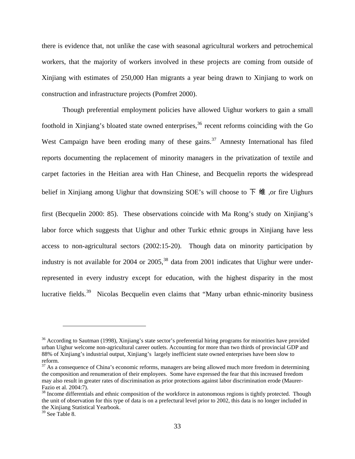there is evidence that, not unlike the case with seasonal agricultural workers and petrochemical workers, that the majority of workers involved in these projects are coming from outside of Xinjiang with estimates of 250,000 Han migrants a year being drawn to Xinjiang to work on construction and infrastructure projects (Pomfret 2000).

Though preferential employment policies have allowed Uighur workers to gain a small foothold in Xinjiang's bloated state owned enterprises,<sup>[36](#page-38-0)</sup> recent reforms coinciding with the Go West Campaign have been eroding many of these gains.<sup>[37](#page-38-1)</sup> Amnesty International has filed reports documenting the replacement of minority managers in the privatization of textile and carpet factories in the Heitian area with Han Chinese, and Becquelin reports the widespread belief in Xinjiang among Uighur that downsizing SOE's will choose to  $\overline{F}$  #1, or fire Uighurs first (Becquelin 2000: 85). These observations coincide with Ma Rong's study on Xinjiang's

labor force which suggests that Uighur and other Turkic ethnic groups in Xinjiang have less access to non-agricultural sectors (2002:15-20). Though data on minority participation by industry is not available for 2004 or  $2005$ ,<sup>[38](#page-38-2)</sup> data from 2001 indicates that Uighur were underrepresented in every industry except for education, with the highest disparity in the most lucrative fields.<sup>[39](#page-38-3)</sup> Nicolas Becquelin even claims that "Many urban ethnic-minority business"

<span id="page-38-0"></span><sup>&</sup>lt;sup>36</sup> According to Sautman (1998), Xinjiang's state sector's preferential hiring programs for minorities have provided urban Uighur welcome non-agricultural career outlets. Accounting for more than two thirds of provincial GDP and 88% of Xinjiang's industrial output, Xinjiang's largely inefficient state owned enterprises have been slow to reform.

<span id="page-38-1"></span><sup>&</sup>lt;sup>37</sup> As a consequence of China's economic reforms, managers are being allowed much more freedom in determining the composition and renumeration of their employees. Some have expressed the fear that this increased freedom may also result in greater rates of discrimination as prior protections against labor discrimination erode (Maurer-Fazio et al. 2004:7).

<span id="page-38-2"></span><sup>&</sup>lt;sup>38</sup> Income differentials and ethnic composition of the workforce in autonomous regions is tightly protected. Though the unit of observation for this type of data is on a prefectural level prior to 2002, this data is no longer included in the Xinjiang Statistical Yearbook.

<span id="page-38-3"></span><sup>&</sup>lt;sup>39</sup> See Table 8.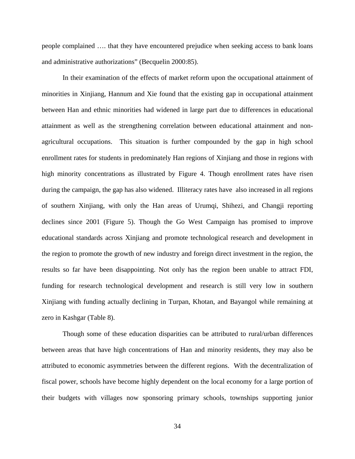people complained …. that they have encountered prejudice when seeking access to bank loans and administrative authorizations" (Becquelin 2000:85).

In their examination of the effects of market reform upon the occupational attainment of minorities in Xinjiang, Hannum and Xie found that the existing gap in occupational attainment between Han and ethnic minorities had widened in large part due to differences in educational attainment as well as the strengthening correlation between educational attainment and nonagricultural occupations. This situation is further compounded by the gap in high school enrollment rates for students in predominately Han regions of Xinjiang and those in regions with high minority concentrations as illustrated by [Figure 4.](#page-42-1) Though enrollment rates have risen during the campaign, the gap has also widened. Illiteracy rates have also increased in all regions of southern Xinjiang, with only the Han areas of Urumqi, Shihezi, and Changji reporting declines since 2001 ([Figure 5\).](#page-42-1) Though the Go West Campaign has promised to improve educational standards across Xinjiang and promote technological research and development in the region to promote the growth of new industry and foreign direct investment in the region, the results so far have been disappointing. Not only has the region been unable to attract FDI, funding for research technological development and research is still very low in southern Xinjiang with funding actually declining in Turpan, Khotan, and Bayangol while remaining at zero in Kashgar ([Table 8\).](#page-42-1)

Though some of these education disparities can be attributed to rural/urban differences between areas that have high concentrations of Han and minority residents, they may also be attributed to economic asymmetries between the different regions. With the decentralization of fiscal power, schools have become highly dependent on the local economy for a large portion of their budgets with villages now sponsoring primary schools, townships supporting junior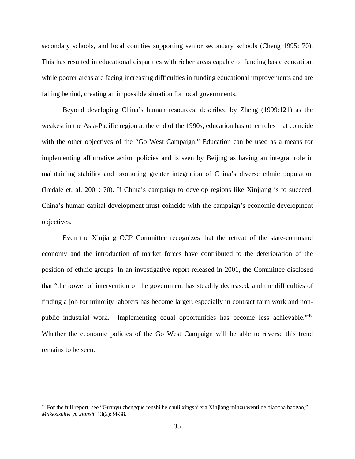secondary schools, and local counties supporting senior secondary schools (Cheng 1995: 70). This has resulted in educational disparities with richer areas capable of funding basic education, while poorer areas are facing increasing difficulties in funding educational improvements and are falling behind, creating an impossible situation for local governments.

Beyond developing China's human resources, described by Zheng (1999:121) as the weakest in the Asia-Pacific region at the end of the 1990s, education has other roles that coincide with the other objectives of the "Go West Campaign." Education can be used as a means for implementing affirmative action policies and is seen by Beijing as having an integral role in maintaining stability and promoting greater integration of China's diverse ethnic population (Iredale et. al. 2001: 70). If China's campaign to develop regions like Xinjiang is to succeed, China's human capital development must coincide with the campaign's economic development objectives.

Even the Xinjiang CCP Committee recognizes that the retreat of the state-command economy and the introduction of market forces have contributed to the deterioration of the position of ethnic groups. In an investigative report released in 2001, the Committee disclosed that "the power of intervention of the government has steadily decreased, and the difficulties of finding a job for minority laborers has become larger, especially in contract farm work and non-public industrial work. Implementing equal opportunities has become less achievable."<sup>[40](#page-40-0)</sup> Whether the economic policies of the Go West Campaign will be able to reverse this trend remains to be seen.

<span id="page-40-0"></span> $40$  For the full report, see "Guanyu zhengque renshi he chuli xingshi xia Xinjiang minzu wenti de diaocha baogao," *Makesizuhyi yu xianshi* 13(2):34-38.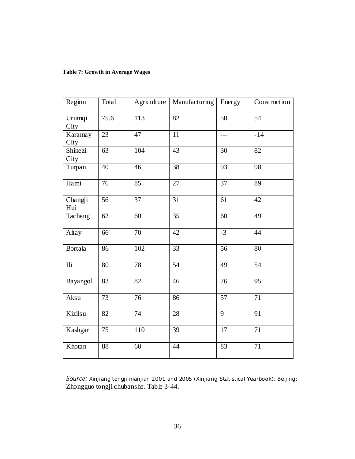## <span id="page-41-0"></span>**Table 7: Growth in Average Wages**

| Region                  | <b>Total</b>    | Agriculture     | Manufacturing   | Energy          | Construction    |
|-------------------------|-----------------|-----------------|-----------------|-----------------|-----------------|
| Urumqi<br>City          | 75.6            | 113             | $\overline{82}$ | $\overline{50}$ | 54              |
| Karamay<br>City         | $\overline{23}$ | 47              | 11              | $- - -$         | $-14$           |
| Shihezi<br>City         | 63              | 104             | 43              | 30              | 82              |
| Turpan                  | 40              | 46              | 38              | 93              | 98              |
| Hami                    | $\overline{76}$ | 85              | $\overline{27}$ | $\overline{37}$ | $\overline{89}$ |
| Changji<br>Hui          | 56              | 37              | $\overline{31}$ | 61              | 42              |
| Tacheng                 | 62              | 60              | $\overline{35}$ | 60              | 49              |
| Altay                   | 66              | 70              | $\overline{42}$ | $-3$            | 44              |
| Bortala                 | 86              | 102             | $\overline{33}$ | 56              | 80              |
| $\overline{\text{Ili}}$ | 80              | 78              | 54              | $\overline{49}$ | $\overline{54}$ |
| Bayangol                | 83              | $\overline{82}$ | $\overline{46}$ | $\overline{76}$ | 95              |
| Aksu                    | 73              | 76              | 86              | $\overline{57}$ | $\overline{71}$ |
| Kizilsu                 | $\overline{82}$ | $\overline{74}$ | 28              | $\overline{9}$  | $\overline{91}$ |
| Kashgar                 | $\overline{75}$ | 110             | $\overline{39}$ | 17              | $\overline{71}$ |
| Khotan                  | $\overline{88}$ | 60              | $\overline{44}$ | $\overline{83}$ | $\overline{71}$ |

*Source: Xinjiang tongji nianjian* 2001 and 2005 *(*Xinjiang Statistical Yearbook), Beijing: Zhongguo tongji chubanshe. Table 3-44.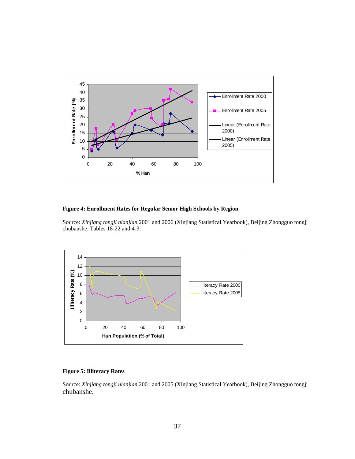<span id="page-42-1"></span><span id="page-42-0"></span>

#### **Figure 4: Enrollment Rates for Regular Senior High Schools by Region**

Source: *Xinjiang tongji nianjian* 2001 and 2006 (Xinjiang Statistical Yearbook), Beijing Zhongguo tongji chubanshe. Tables 18-22 and 4-3.



#### **Figure 5: Illiteracy Rates**

Source: *Xinjiang tongji nianjian* 2001 and 2005 (Xinjiang Statistical Yearbook), Beijing Zhongguo tongji chubanshe.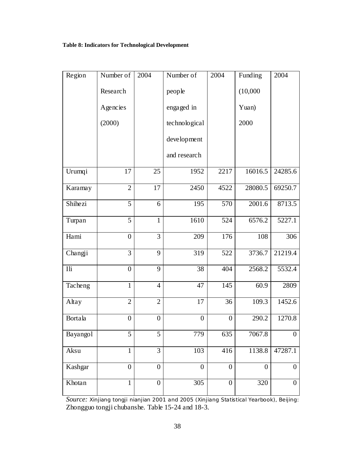## <span id="page-43-0"></span>**Table 8: Indicators for Technological Development**

| Region   | Number of        | 2004             | Number of        | 2004             | Funding            | 2004             |
|----------|------------------|------------------|------------------|------------------|--------------------|------------------|
|          | Research         |                  | people           |                  | (10,000)           |                  |
|          | Agencies         |                  | engaged in       |                  | Yuan)              |                  |
|          | (2000)           |                  | technological    |                  | 2000               |                  |
|          |                  |                  | development      |                  |                    |                  |
|          |                  |                  | and research     |                  |                    |                  |
| Urumqi   | 17               | 25               | 1952             | 2217             | 16016.5            | 24285.6          |
| Karamay  | $\overline{2}$   | 17               | 2450             | 4522             | 28080.5            | 69250.7          |
| Shihezi  | $\overline{5}$   | 6                | 195              | 570              | 2001.6             | 8713.5           |
| Turpan   | 5                | $\mathbf{1}$     | 1610             | 524              | 6576.2             | 5227.1           |
| Hami     | $\boldsymbol{0}$ | 3                | 209              | 176              | 108                | 306              |
| Changji  | $\overline{3}$   | 9                | 319              | 522              | 3736.7             | 21219.4          |
| Ili      | $\boldsymbol{0}$ | 9                | 38               | 404              | 2568.2             | 5532.4           |
| Tacheng  | $\mathbf{1}$     | $\overline{4}$   | 47               | 145              | 60.9               | 2809             |
| Altay    | $\overline{2}$   | $\overline{2}$   | 17               | 36               | $109.\overline{3}$ | 1452.6           |
| Bortala  | $\boldsymbol{0}$ | $\boldsymbol{0}$ | $\boldsymbol{0}$ | $\boldsymbol{0}$ | 290.2              | 1270.8           |
| Bayangol | 5                | 5                | 779              | 635              | 7067.8             | $\boldsymbol{0}$ |
| Aksu     | $\mathbf{1}$     | $\overline{3}$   | 103              | 416              | 1138.8             | 47287.1          |
| Kashgar  | $\overline{0}$   | $\boldsymbol{0}$ | $\boldsymbol{0}$ | $\boldsymbol{0}$ | $\overline{0}$     | $\boldsymbol{0}$ |
| Khotan   | $\mathbf{1}$     | $\boldsymbol{0}$ | 305              | $\overline{0}$   | 320                | $\boldsymbol{0}$ |

*Source: Xinjiang tongji nianjian* 2001 and 2005 *(*Xinjiang Statistical Yearbook), Beijing: Zhongguo tongji chubanshe. Table 15-24 and 18-3.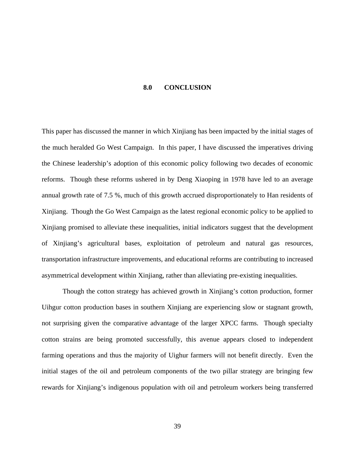#### **8.0 CONCLUSION**

<span id="page-44-0"></span>This paper has discussed the manner in which Xinjiang has been impacted by the initial stages of the much heralded Go West Campaign. In this paper, I have discussed the imperatives driving the Chinese leadership's adoption of this economic policy following two decades of economic reforms. Though these reforms ushered in by Deng Xiaoping in 1978 have led to an average annual growth rate of 7.5 %, much of this growth accrued disproportionately to Han residents of Xinjiang. Though the Go West Campaign as the latest regional economic policy to be applied to Xinjiang promised to alleviate these inequalities, initial indicators suggest that the development of Xinjiang's agricultural bases, exploitation of petroleum and natural gas resources, transportation infrastructure improvements, and educational reforms are contributing to increased asymmetrical development within Xinjiang, rather than alleviating pre-existing inequalities.

Though the cotton strategy has achieved growth in Xinjiang's cotton production, former Uihgur cotton production bases in southern Xinjiang are experiencing slow or stagnant growth, not surprising given the comparative advantage of the larger XPCC farms. Though specialty cotton strains are being promoted successfully, this avenue appears closed to independent farming operations and thus the majority of Uighur farmers will not benefit directly. Even the initial stages of the oil and petroleum components of the two pillar strategy are bringing few rewards for Xinjiang's indigenous population with oil and petroleum workers being transferred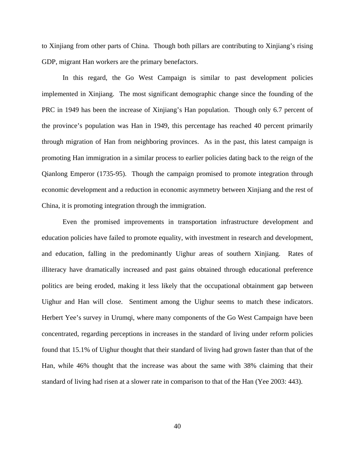to Xinjiang from other parts of China. Though both pillars are contributing to Xinjiang's rising GDP, migrant Han workers are the primary benefactors.

In this regard, the Go West Campaign is similar to past development policies implemented in Xinjiang. The most significant demographic change since the founding of the PRC in 1949 has been the increase of Xinjiang's Han population. Though only 6.7 percent of the province's population was Han in 1949, this percentage has reached 40 percent primarily through migration of Han from neighboring provinces. As in the past, this latest campaign is promoting Han immigration in a similar process to earlier policies dating back to the reign of the Qianlong Emperor (1735-95). Though the campaign promised to promote integration through economic development and a reduction in economic asymmetry between Xinjiang and the rest of China, it is promoting integration through the immigration.

Even the promised improvements in transportation infrastructure development and education policies have failed to promote equality, with investment in research and development, and education, falling in the predominantly Uighur areas of southern Xinjiang. Rates of illiteracy have dramatically increased and past gains obtained through educational preference politics are being eroded, making it less likely that the occupational obtainment gap between Uighur and Han will close. Sentiment among the Uighur seems to match these indicators. Herbert Yee's survey in Urumqi, where many components of the Go West Campaign have been concentrated, regarding perceptions in increases in the standard of living under reform policies found that 15.1% of Uighur thought that their standard of living had grown faster than that of the Han, while 46% thought that the increase was about the same with 38% claiming that their standard of living had risen at a slower rate in comparison to that of the Han (Yee 2003: 443).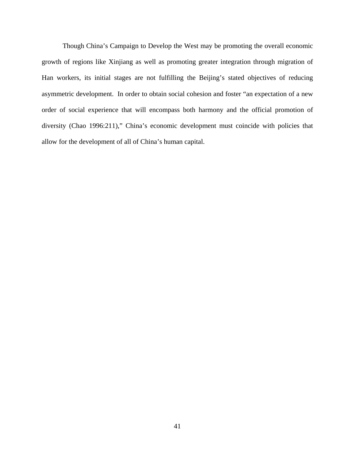Though China's Campaign to Develop the West may be promoting the overall economic growth of regions like Xinjiang as well as promoting greater integration through migration of Han workers, its initial stages are not fulfilling the Beijing's stated objectives of reducing asymmetric development. In order to obtain social cohesion and foster "an expectation of a new order of social experience that will encompass both harmony and the official promotion of diversity (Chao 1996:211)," China's economic development must coincide with policies that allow for the development of all of China's human capital.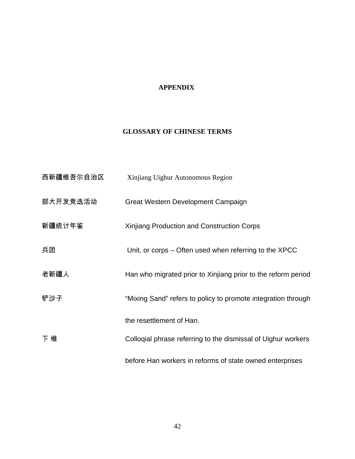## **APPENDIX**

## <span id="page-47-0"></span>**GLOSSARY OF CHINESE TERMS**

| 西新疆维吾尔自治区 | Xinjiang Uighur Autonomous Region                             |
|-----------|---------------------------------------------------------------|
| 部大开发竞选活动  | Great Western Development Campaign                            |
| 新疆统计年鉴    | Xinjiang Production and Construction Corps                    |
| 兵团        | Unit, or corps – Often used when referring to the XPCC        |
| 老新疆人      | Han who migrated prior to Xinjiang prior to the reform period |
| 铲沙子       | "Mixing Sand" refers to policy to promote integration through |
|           | the resettlement of Han.                                      |
| 下 维       | Collogial phrase referring to the dismissal of Uighur workers |
|           | before Han workers in reforms of state owned enterprises      |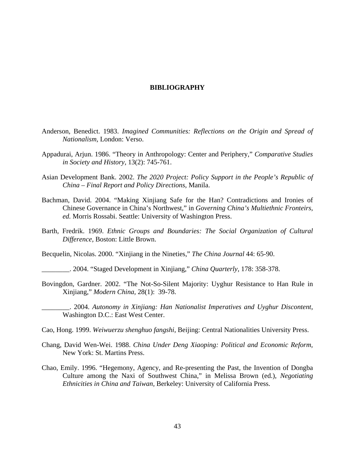#### **BIBLIOGRAPHY**

- <span id="page-48-0"></span>Anderson, Benedict. 1983. *Imagined Communities: Reflections on the Origin and Spread of Nationalism,* London: Verso.
- Appadurai, Arjun. 1986. "Theory in Anthropology: Center and Periphery," *Comparative Studies in Society and History,* 13(2): 745-761.
- Asian Development Bank. 2002. *The 2020 Project: Policy Support in the People's Republic of China – Final Report and Policy Directions,* Manila.
- Bachman, David. 2004. "Making Xinjiang Safe for the Han? Contradictions and Ironies of Chinese Governance in China's Northwest," in *Governing China's Multiethnic Fronteirs, ed.* Morris Rossabi. Seattle: University of Washington Press.
- Barth, Fredrik. 1969. *Ethnic Groups and Boundaries: The Social Organization of Cultural Difference,* Boston: Little Brown.
- Becquelin, Nicolas. 2000. "Xinjiang in the Nineties," *The China Journal* 44: 65-90.
- \_\_\_\_\_\_\_\_. 2004. "Staged Development in Xinjiang," *China Quarterly,* 178: 358-378.
- Bovingdon, Gardner. 2002. "The Not-So-Silent Majority: Uyghur Resistance to Han Rule in Xinjiang," *Modern China,* 28(1): 39-78.
	- \_\_\_\_\_\_\_\_. 2004. *Autonomy in Xinjiang: Han Nationalist Imperatives and Uyghur Discontent*, Washington D.C.: East West Center.
- Cao, Hong. 1999. *Weiwuerzu shenghuo fangshi*, Beijing: Central Nationalities University Press.
- Chang, David Wen-Wei. 1988. *China Under Deng Xiaoping: Political and Economic Reform,*  New York: St. Martins Press.
- Chao, Emily. 1996. "Hegemony, Agency, and Re-presenting the Past, the Invention of Dongba Culture among the Naxi of Southwest China," in Melissa Brown (ed.), *Negotiating Ethnicities in China and Taiwan,* Berkeley: University of California Press.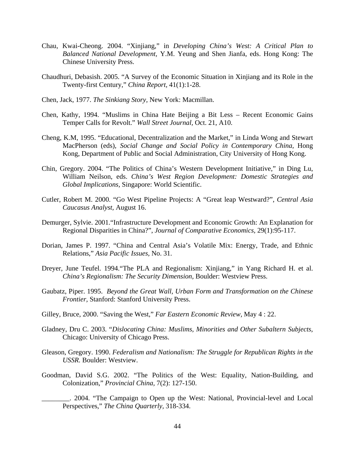- Chau, Kwai-Cheong. 2004. "Xinjiang," in *Developing China's West: A Critical Plan to Balanced National Development,* Y.M. Yeung and Shen Jianfa, eds. Hong Kong: The Chinese University Press.
- Chaudhuri, Debasish. 2005. "A Survey of the Economic Situation in Xinjiang and its Role in the Twenty-first Century," *China Report,* 41(1):1-28.
- Chen, Jack, 1977. *The Sinkiang Story,* New York: Macmillan.
- Chen, Kathy, 1994. "Muslims in China Hate Beijing a Bit Less Recent Economic Gains Temper Calls for Revolt." *Wall Street Journal,* Oct. 21, A10.
- Cheng, K.M, 1995. "Educational, Decentralization and the Market," in Linda Wong and Stewart MacPherson (eds), *Social Change and Social Policy in Contemporary China,* Hong Kong, Department of Public and Social Administration, City University of Hong Kong.
- Chin, Gregory. 2004. "The Politics of China's Western Development Initiative," in Ding Lu, William Neilson, eds. *China's West Region Development: Domestic Strategies and Global Implications,* Singapore: World Scientific.
- Cutler, Robert M. 2000. "Go West Pipeline Projects: A "Great leap Westward?", *Central Asia Caucasus Analyst,* August 16.
- Demurger, Sylvie. 2001."Infrastructure Development and Economic Growth: An Explanation for Regional Disparities in China?", *Journal of Comparative Economics,* 29(1):95-117.
- Dorian, James P. 1997. "China and Central Asia's Volatile Mix: Energy, Trade, and Ethnic Relations," *Asia Pacific Issues,* No. 31.
- Dreyer, June Teufel. 1994."The PLA and Regionalism: Xinjiang," in Yang Richard H. et al. *China's Regionalism: The Security Dimension,* Boulder: Westview Press.
- Gaubatz, Piper. 1995. *Beyond the Great Wall, Urban Form and Transformation on the Chinese Frontier,* Stanford: Stanford University Press.
- Gilley, Bruce, 2000. "Saving the West," *Far Eastern Economic Review,* May 4 : 22.
- Gladney, Dru C. 2003. "*Dislocating China: Muslims, Minorities and Other Subaltern Subjects,*  Chicago: University of Chicago Press.
- Gleason, Gregory. 1990. *Federalism and Nationalism: The Struggle for Republican Rights in the USSR.* Boulder: Westview.
- Goodman, David S.G. 2002. "The Politics of the West: Equality, Nation-Building, and Colonization," *Provincial China,* 7(2): 127-150.

\_\_\_\_\_\_\_\_. 2004. "The Campaign to Open up the West: National, Provincial-level and Local Perspectives," *The China Quarterly,* 318-334.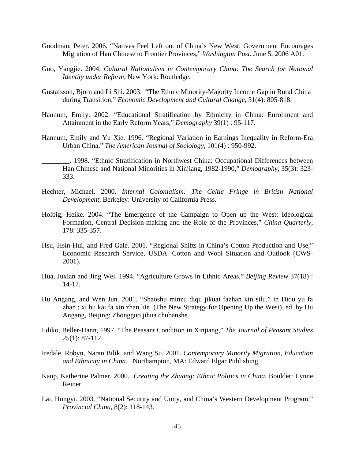- Goodman, Peter. 2006. "Natives Feel Left out of China's New West: Government Encourages Migration of Han Chinese to Frontier Provinces," *Washington Post.* June 5, 2006 A01.
- Guo, Yangjie. 2004. *Cultural Nationalism in Contemporary China: The Search for National Identity under Reform,* New York: Routledge.
- Gustafsson, Bjorn and Li Shi. 2003. "The Ethnic Minority-Majority Income Gap in Rural China during Transition," *Economic Development and Cultural Change,* 51(4): 805-818.
- Hannum, Emily. 2002. "Educational Stratification by Ethnicity in China: Enrollment and Attainment in the Early Reform Years," *Demography* 39(1) : 95-117.
- Hannum, Emily and Yu Xie. 1996. "Regional Variation in Earnings Inequality in Reform-Era Urban China," *The American Journal of Sociology,* 101(4) : 950-992.
- \_\_\_\_\_\_\_\_. 1998. "Ethnic Stratification in Northwest China: Occupational Differences between Han Chinese and National Minorities in Xinjiang, 1982-1990," *Demography,* 35(3): 323- 333.
- Hechter, Michael. 2000. *Internal Colonialism: The Celtic Fringe in British National Development,* Berkeley: University of California Press.
- Holbig, Heike. 2004. "The Emergence of the Campaign to Open up the West: Ideological Formation, Central Decision-making and the Role of the Provinces," *China Quarterly,*  178: 335-357.
- Hsu, Hsin-Hui, and Fred Gale. 2001. "Regional Shifts in China's Cotton Production and Use," Economic Research Service, USDA. Cotton and Wool Situation and Outlook (CWS-2001).
- Hua, Juxian and Jing Wei. 1994. "Agriculture Grows in Ethnic Areas," *Beijing Review* 37(18) : 14-17.
- Hu Angang, and Wen Jun. 2001. "Shaoshu minzu diqu jikuai fazhan xin silu," in Diqu yu fa zhan : xi bu kai fa xin zhan lüe (The New Strategy for Opening Up the West). ed. by Hu Angang, Beijing: Zhongguo jihua chubanshe.
- Iidiko, Beller-Hann, 1997. "The Peasant Condition in Xinjiang," *The Journal of Peasant Studies*  25(1): 87-112.
- Iredale, Robyn, Naran Bilik, and Wang Su, 2001. *Contemporary Minority Migration, Education and Ethnicity in China.* Northampton, MA: Edward Elgar Publishing.
- Kaup, Katherine Palmer. 2000. *Creating the Zhuang: Ethnic Politics in China.* Boulder: Lynne Reiner.
- Lai, Hongyi. 2003. "National Security and Unity, and China's Western Development Program," *Provincial China,* 8(2): 118-143.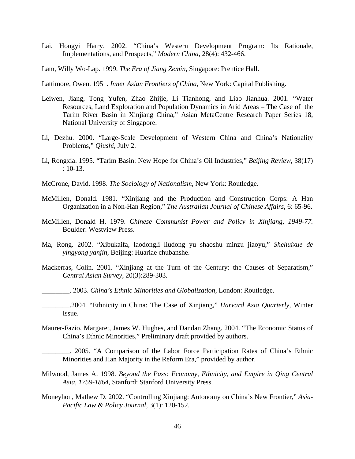- Lai, Hongyi Harry. 2002. "China's Western Development Program: Its Rationale, Implementations, and Prospects," *Modern China,* 28(4): 432-466.
- Lam, Willy Wo-Lap. 1999. *The Era of Jiang Zemin,* Singapore: Prentice Hall.

Lattimore, Owen. 1951. *Inner Asian Frontiers of China,* New York: Capital Publishing.

- Leiwen, Jiang, Tong Yufen, Zhao Zhijie, Li Tianhong, and Liao Jianhua. 2001. "Water Resources, Land Exploration and Population Dynamics in Arid Areas – The Case of the Tarim River Basin in Xinjiang China," Asian MetaCentre Research Paper Series 18, National University of Singapore.
- Li, Dezhu. 2000. "Large-Scale Development of Western China and China's Nationality Problems," *Qiushi,* July 2.
- Li, Rongxia. 1995. "Tarim Basin: New Hope for China's Oil Industries," *Beijing Review,* 38(17) : 10-13.
- McCrone, David. 1998. *The Sociology of Nationalism,* New York: Routledge.
- McMillen, Donald. 1981. "Xinjiang and the Production and Construction Corps: A Han Organization in a Non-Han Region," *The Australian Journal of Chinese Affairs,* 6: 65-96.
- McMillen, Donald H. 1979. *Chinese Communist Power and Policy in Xinjiang, 1949-77.*  Boulder: Westview Press.
- Ma, Rong. 2002. "Xibukaifa, laodongli liudong yu shaoshu minzu jiaoyu," *Shehuixue de yingyong yanjin,* Beijing: Huariae chubanshe.
- Mackerras, Colin. 2001. "Xinjiang at the Turn of the Century: the Causes of Separatism," *Central Asian Survey,* 20(3):289-303.

\_\_\_\_\_\_\_\_. 2003. *China's Ethnic Minorities and Globalization,* London: Routledge.

- \_\_\_\_\_\_\_\_.2004. "Ethnicity in China: The Case of Xinjiang," *Harvard Asia Quarterly,* Winter Issue.
- Maurer-Fazio, Margaret, James W. Hughes, and Dandan Zhang. 2004. "The Economic Status of China's Ethnic Minorities," Preliminary draft provided by authors.

. 2005. "A Comparison of the Labor Force Participation Rates of China's Ethnic Minorities and Han Majority in the Reform Era," provided by author.

- Milwood, James A. 1998. *Beyond the Pass: Economy, Ethnicity, and Empire in Qing Central Asia, 1759-1864,* Stanford: Stanford University Press.
- Moneyhon, Mathew D. 2002. "Controlling Xinjiang: Autonomy on China's New Frontier," *Asia-Pacific Law & Policy Journal,* 3(1): 120-152.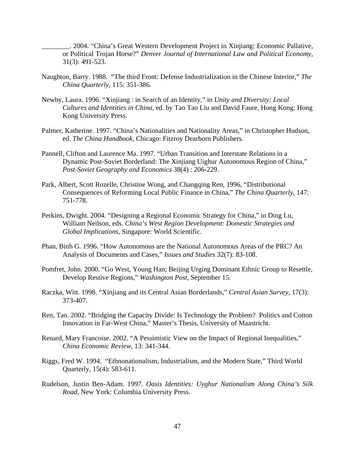\_\_\_\_\_\_\_\_. 2004. "China's Great Western Development Project in Xinjiang: Economic Pallative, or Political Trojan Horse?" *Denver Journal of International Law and Political Economy,*  31(3): 491-523.

- Naughton, Barry. 1988. "The third Front: Defense Industrialization in the Chinese Interior," *The China Quarterly,* 115: 351-386.
- Newby, Laura. 1996. "Xinjiang : in Search of an Identity," in *Unity and Diversity: Local Cultures and Identities in China,* ed. by Tao Tao Liu and David Faure, Hong Kong: Hong Kong University Press.
- Palmer, Katherine. 1997. "China's Nationalities and Nationality Areas," in Christopher Hudson, ed. *The China Handbook,* Chicago: Fitzroy Dearborn Publishers.
- Pannell, Clifton and Laurence Ma. 1997. "Urban Transition and Interstate Relations in a Dynamic Post-Soviet Borderland: The Xinjiang Uighur Autonomous Region of China," *Post-Soviet Geography and Economics* 38(4) : 206-229.
- Park, Albert, Scott Rozelle, Christine Wong, and Changqing Ren, 1996, "Distributional Consequences of Reforming Local Public Finance in China," *The China Quarterly,* 147: 751-778.
- Perkins, Dwight. 2004. "Designing a Regional Economic Strategy for China," in Ding Lu, William Neilson, eds. *China's West Region Development: Domestic Strategies and Global Implications,* Singapore: World Scientific.
- Phan, Binh G. 1996. "How Autonomous are the National Autonomous Areas of the PRC? An Analysis of Documents and Cases," *Issues and Studies* 32(7): 83-108.
- Pomfret, John. 2000. "Go West, Young Han; Beijing Urging Dominant Ethnic Group to Resettle, Develop Restive Regions," *Washington Post,* September 15.
- Raczka, Witt. 1998. "Xinjiang and its Central Asian Borderlands," *Central Asian Survey,* 17(3): 373-407.
- Ren, Tao. 2002. "Bridging the Capacity Divide: Is Technology the Problem? Politics and Cotton Innovation in Far-West China," Master's Thesis, University of Maastricht.
- Renard, Mary Francoise. 2002. "A Pessimistic View on the Impact of Regional Inequalities," *China Economic Review,* 13: 341-344.
- Riggs, Fred W. 1994. "Ethnonationalism, Industrialism, and the Modern State," Third World Quarterly, 15(4): 583-611.
- Rudelson, Justin Ben-Adam. 1997. *Oasis Identities: Uyghur Nationalism Along China's Silk Road,* New York: Columbia University Press.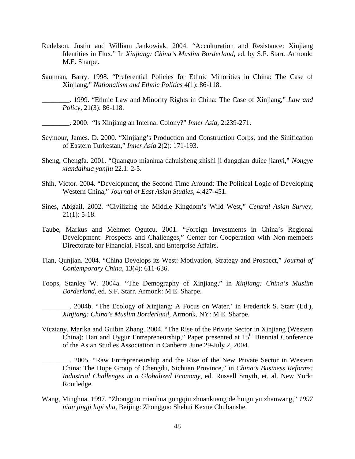- Rudelson, Justin and William Jankowiak. 2004. "Acculturation and Resistance: Xinjiang Identities in Flux." In *Xinjiang: China's Muslim Borderland,* ed. by S.F. Starr. Armonk: M.E. Sharpe.
- Sautman, Barry. 1998. "Preferential Policies for Ethnic Minorities in China: The Case of Xinjiang," *Nationalism and Ethnic Politics* 4(1): 86-118.

\_\_\_\_\_\_\_\_. 1999. "Ethnic Law and Minority Rights in China: The Case of Xinjiang," *Law and Policy,* 21(3): 86-118.

\_\_\_\_\_\_\_\_. 2000. "Is Xinjiang an Internal Colony?" *Inner Asia,* 2:239-271.

- Seymour, James. D. 2000. "Xinjiang's Production and Construction Corps, and the Sinification of Eastern Turkestan," *Inner Asia* 2(2): 171-193.
- Sheng, Chengfa. 2001. "Quanguo mianhua dahuisheng zhishi ji dangqian duice jianyi," *Nongye xiandaihua yanjiu* 22.1: 2-5.
- Shih, Victor. 2004. "Development, the Second Time Around: The Political Logic of Developing Western China," *Journal of East Asian Studies,* 4:427-451.
- Sines, Abigail. 2002. "Civilizing the Middle Kingdom's Wild West," *Central Asian Survey,*   $21(1): 5-18.$
- Taube, Markus and Mehmet Ogutcu. 2001. "Foreign Investments in China's Regional Development: Prospects and Challenges," Center for Cooperation with Non-members Directorate for Financial, Fiscal, and Enterprise Affairs.
- Tian, Qunjian. 2004. "China Develops its West: Motivation, Strategy and Prospect," *Journal of Contemporary China,* 13(4): 611-636.
- Toops, Stanley W. 2004a. "The Demography of Xinjiang," in *Xinjiang: China's Muslim Borderland,* ed. S.F. Starr. Armonk: M.E. Sharpe.

\_\_\_\_\_\_\_\_. 2004b. "The Ecology of Xinjiang: A Focus on Water,' in Frederick S. Starr (Ed.), *Xinjiang: China's Muslim Borderland,* Armonk, NY: M.E. Sharpe.

Vicziany, Marika and Guibin Zhang. 2004. "The Rise of the Private Sector in Xinjiang (Western China): Han and Uygur Entrepreneurship," Paper presented at  $15<sup>th</sup>$  Biennial Conference of the Asian Studies Association in Canberra June 29-July 2, 2004.

\_\_\_\_\_\_\_\_. 2005. "Raw Entrepreneurship and the Rise of the New Private Sector in Western China: The Hope Group of Chengdu, Sichuan Province," in *China's Business Reforms: Industrial Challenges in a Globalized Economy*, ed. Russell Smyth, et. al. New York: Routledge.

Wang, Minghua. 1997. "Zhongguo mianhua gongqiu zhuankuang de huigu yu zhanwang," *1997 nian jingji lupi shu,* Beijing: Zhongguo Shehui Kexue Chubanshe.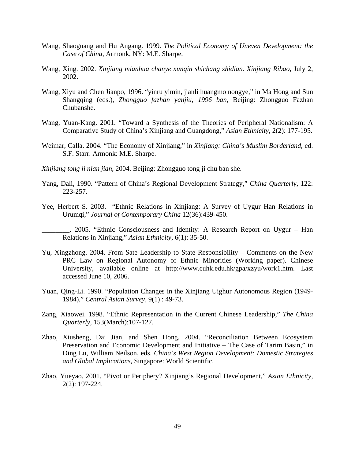- Wang, Shaoguang and Hu Angang. 1999. *The Political Economy of Uneven Development: the Case of China*, Armonk, NY: M.E. Sharpe.
- Wang, Xing. 2002. *Xinjiang mianhua chanye xunqin shichang zhidian. Xinjiang Ribao,* July 2, 2002.
- Wang, Xiyu and Chen Jianpo, 1996. "yinru yimin, jianli huangmo nongye," in Ma Hong and Sun Shangqing (eds.), *Zhongguo fazhan yanjiu, 1996 ban,* Beijing: Zhongguo Fazhan Chubanshe.
- Wang, Yuan-Kang. 2001. "Toward a Synthesis of the Theories of Peripheral Nationalism: A Comparative Study of China's Xinjiang and Guangdong," *Asian Ethnicity,* 2(2): 177-195.
- Weimar, Calla. 2004. "The Economy of Xinjiang," in *Xinjiang: China's Muslim Borderland,* ed. S.F. Starr. Armonk: M.E. Sharpe.
- *Xinjiang tong ji nian jian,* 2004. Beijing: Zhongguo tong ji chu ban she.
- Yang, Dali, 1990. "Pattern of China's Regional Development Strategy," *China Quarterly,* 122: 223-257.
- Yee, Herbert S. 2003. "Ethnic Relations in Xinjiang: A Survey of Uygur Han Relations in Urumqi," *Journal of Contemporary China* 12(36):439-450.

\_\_\_\_\_\_\_\_. 2005. "Ethnic Consciousness and Identity: A Research Report on Uygur – Han Relations in Xinjiang," *Asian Ethnicity,* 6(1): 35-50.

- Yu, Xingzhong. 2004. From Sate Leadership to State Responsibility Comments on the New PRC Law on Regional Autonomy of Ethnic Minorities (Working paper). Chinese University, available online at http://www.cuhk.edu.hk/gpa/xzyu/work1.htm. Last accessed June 10, 2006.
- Yuan, Qing-Li. 1990. "Population Changes in the Xinjiang Uighur Autonomous Region (1949- 1984)," *Central Asian Survey,* 9(1) : 49-73.
- Zang, Xiaowei. 1998. "Ethnic Representation in the Current Chinese Leadership," *The China Quarterly,* 153(March):107-127.
- Zhao, Xiusheng, Dai Jian, and Shen Hong. 2004. "Reconciliation Between Ecosystem Preservation and Economic Development and Initiative – The Case of Tarim Basin," in Ding Lu, William Neilson, eds. *China's West Region Development: Domestic Strategies and Global Implications,* Singapore: World Scientific.
- Zhao, Yueyao. 2001. "Pivot or Periphery? Xinjiang's Regional Development," *Asian Ethnicity,*  2(2): 197-224.